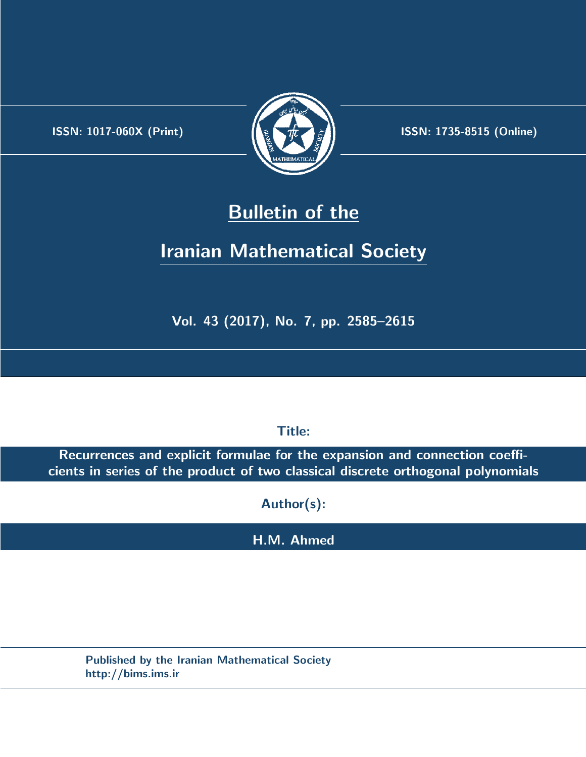.



**ISSN:** 1017-060X (Print)  $\left(\frac{1}{2}\right)$   $\frac{1}{2}$   $\frac{1}{2}$   $\frac{1}{2}$  **ISSN:** 1735-8515 (Online)

# **Bulletin of the**

# **Iranian Mathematical Society**

**Vol. 43 (2017), No. 7, pp. 2585–2615**

**Title:**

**Recurrences and explicit formulae for the expansion and connection coefficients in series of the product of two classical discrete orthogonal polynomials**

**Author(s):**

**H.M. Ahmed**

**Published by the Iranian Mathematical Society http://bims.ims.ir**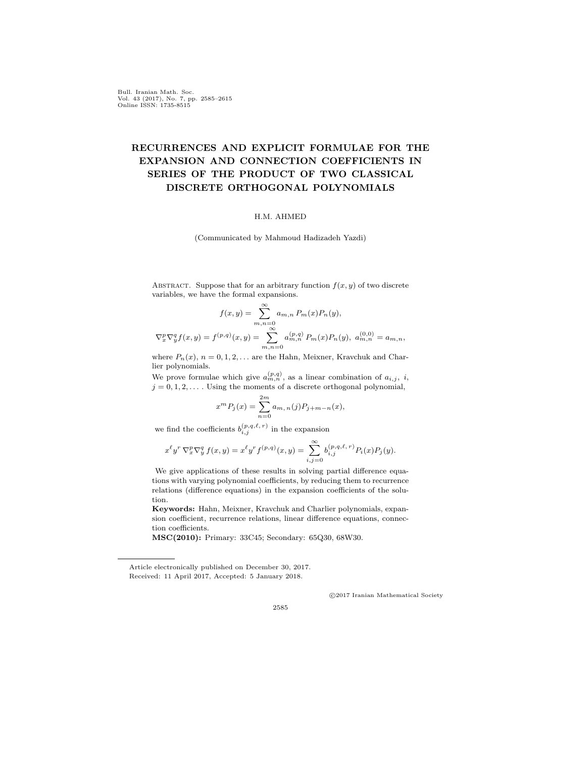Bull. Iranian Math. Soc. Vol. 43 (2017), No. 7, pp. 2585–2615 Online ISSN: 1735-8515

## **RECURRENCES AND EXPLICIT FORMULAE FOR THE EXPANSION AND CONNECTION COEFFICIENTS IN SERIES OF THE PRODUCT OF TWO CLASSICAL DISCRETE ORTHOGONAL POLYNOMIALS**

#### H.M. AHMED

(Communicated by Mahmoud Hadizadeh Yazdi)

ABSTRACT. Suppose that for an arbitrary function  $f(x, y)$  of two discrete variables, we have the formal expansions.

$$
f(x,y) = \sum_{m,n=0}^{\infty} a_{m,n} P_m(x) P_n(y),
$$
  

$$
\nabla_x^p \nabla_y^q f(x,y) = f^{(p,q)}(x,y) = \sum_{m,n=0}^{\infty} a_{m,n}^{(p,q)} P_m(x) P_n(y), \ a_{m,n}^{(0,0)} = a_{m,n},
$$

where  $P_n(x)$ ,  $n = 0, 1, 2, \ldots$  are the Hahn, Meixner, Kravchuk and Charlier polynomials.

We prove formulae which give  $a_{m,n}^{(p,q)}$ , as a linear combination of  $a_{i,j}$ , *i*,  $j = 0, 1, 2, \ldots$  Using the moments of a discrete orthogonal polynomial,

$$
x^{m}P_{j}(x) = \sum_{n=0}^{2m} a_{m,n}(j)P_{j+m-n}(x),
$$

we find the coefficients  $b_{i,j}^{(p,q,\ell,r)}$  in the expansion

$$
x^{\ell}y^{r} \nabla_{x}^{p} \nabla_{y}^{q} f(x, y) = x^{\ell}y^{r} f^{(p, q)}(x, y) = \sum_{i, j=0}^{\infty} b_{i, j}^{(p, q, \ell, r)} P_{i}(x) P_{j}(y).
$$

We give applications of these results in solving partial difference equations with varying polynomial coefficients, by reducing them to recurrence relations (difference equations) in the expansion coefficients of the solution.

**Keywords:** Hahn, Meixner, Kravchuk and Charlier polynomials, expansion coefficient, recurrence relations, linear difference equations, connection coefficients.

**MSC(2010):** Primary: 33C45; Secondary: 65Q30, 68W30.

*⃝*c 2017 Iranian Mathematical Society

2585

Article electronically published on December 30, 2017. Received: 11 April 2017, Accepted: 5 January 2018.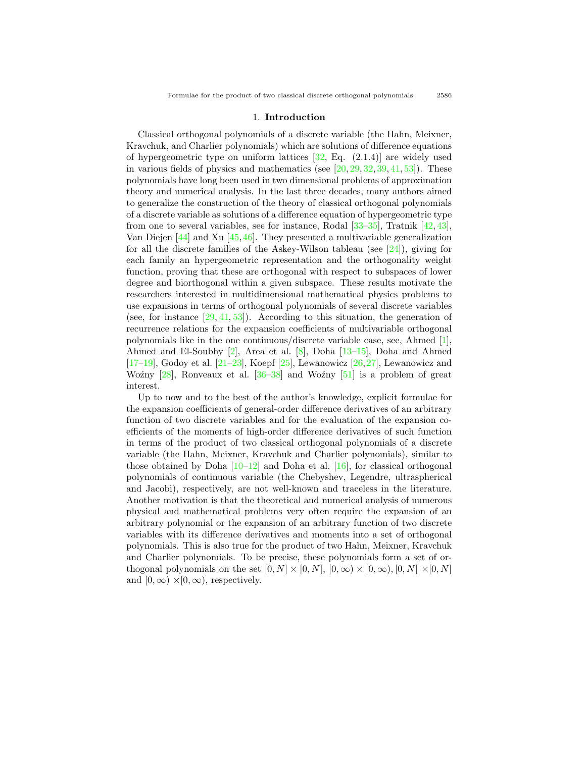#### 1. **Introduction**

Classical orthogonal polynomials of a discrete variable (the Hahn, Meixner, Kravchuk, and Charlier polynomials) which are solutions of difference equations of hypergeometric type on uniform lattices  $[32, Eq. (2.1.4)]$  are widely used invarious fields of physics and mathematics (see  $[20, 29, 32, 39, 41, 53]$  $[20, 29, 32, 39, 41, 53]$  $[20, 29, 32, 39, 41, 53]$  $[20, 29, 32, 39, 41, 53]$  $[20, 29, 32, 39, 41, 53]$  $[20, 29, 32, 39, 41, 53]$  $[20, 29, 32, 39, 41, 53]$  $[20, 29, 32, 39, 41, 53]$  $[20, 29, 32, 39, 41, 53]$  $[20, 29, 32, 39, 41, 53]$  $[20, 29, 32, 39, 41, 53]$  $[20, 29, 32, 39, 41, 53]$  $[20, 29, 32, 39, 41, 53]$ ). These polynomials have long been used in two dimensional problems of approximation theory and numerical analysis. In the last three decades, many authors aimed to generalize the construction of the theory of classical orthogonal polynomials of a discrete variable as solutions of a difference equation of hypergeometric type from one to several variables, see for instance, Rodal[[33–](#page-30-4)[35\]](#page-30-5), Tratnik[[42,](#page-30-6) [43\]](#page-30-7), Van Diejen [\[44](#page-31-1)] and Xu[[45,](#page-31-2)[46\]](#page-31-3). They presented a multivariable generalization forall the discrete families of the Askey-Wilson tableau (see  $[24]$  $[24]$ ), giving for each family an hypergeometric representation and the orthogonality weight function, proving that these are orthogonal with respect to subspaces of lower degree and biorthogonal within a given subspace. These results motivate the researchers interested in multidimensional mathematical physics problems to use expansions in terms of orthogonal polynomials of several discrete variables (see, for instance  $[29, 41, 53]$  $[29, 41, 53]$  $[29, 41, 53]$  $[29, 41, 53]$  $[29, 41, 53]$ ). According to this situation, the generation of recurrence relations for the expansion coefficients of multivariable orthogonal polynomials like in the one continuous/discrete variable case, see, Ahmed[[1\]](#page-28-0), Ahmed and El-Soubhy[[2\]](#page-28-1), Area et al.[[8\]](#page-29-1), Doha[[13–](#page-29-2)[15](#page-29-3)], Doha and Ahmed  $[17–19]$  $[17–19]$  $[17–19]$ ,Godoy et al.  $[21–23]$  $[21–23]$  $[21–23]$ , Koepf  $[25]$ , Lewanowicz  $[26, 27]$  $[26, 27]$ , Lewanowicz and Woźny $[28]$  $[28]$ , Ronveaux et al.  $[36-38]$  and Woźny  $[51]$  is a problem of great interest.

Up to now and to the best of the author's knowledge, explicit formulae for the expansion coefficients of general-order difference derivatives of an arbitrary function of two discrete variables and for the evaluation of the expansion coefficients of the moments of high-order difference derivatives of such function in terms of the product of two classical orthogonal polynomials of a discrete variable (the Hahn, Meixner, Kravchuk and Charlier polynomials), similar to thoseobtained by Doha  $[10-12]$  and Doha et al.  $[16]$  $[16]$ , for classical orthogonal polynomials of continuous variable (the Chebyshev, Legendre, ultraspherical and Jacobi), respectively, are not well-known and traceless in the literature. Another motivation is that the theoretical and numerical analysis of numerous physical and mathematical problems very often require the expansion of an arbitrary polynomial or the expansion of an arbitrary function of two discrete variables with its difference derivatives and moments into a set of orthogonal polynomials. This is also true for the product of two Hahn, Meixner, Kravchuk and Charlier polynomials. To be precise, these polynomials form a set of orthogonal polynomials on the set  $[0, N] \times [0, N]$ ,  $[0, \infty) \times [0, \infty)$ ,  $[0, N] \times [0, N]$ and  $[0, \infty) \times [0, \infty)$ , respectively.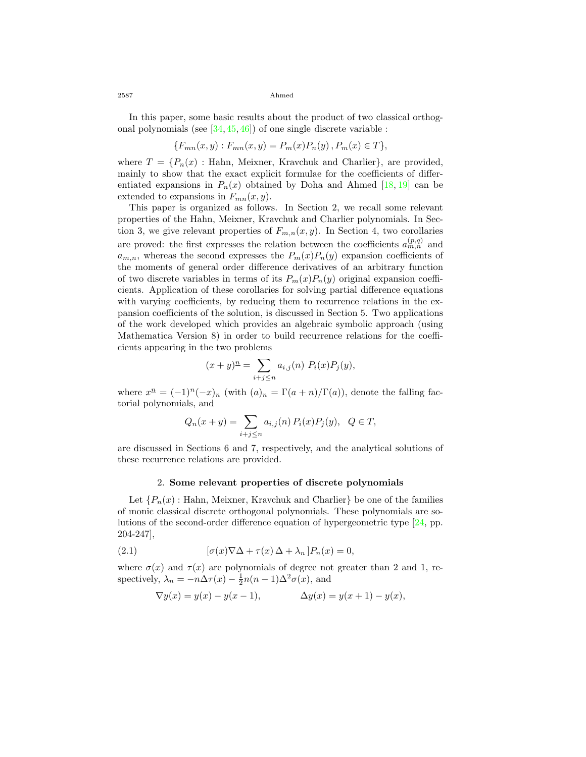In this paper, some basic results about the product of two classical orthogonal polynomials (see[[34,](#page-30-16) [45,](#page-31-2) [46\]](#page-31-3)) of one single discrete variable :

$$
\{F_{mn}(x,y): F_{mn}(x,y) = P_m(x)P_n(y), P_m(x) \in T\},\
$$

where  $T = \{P_n(x) : \text{Hahn}, \text{Meixner}, \text{Kravchuk and Charlier}\},\$ are provided, mainly to show that the exact explicit formulae for the coefficients of differentiated expansions in  $P_n(x)$  obtained by Doha and Ahmed [\[18](#page-29-10), [19](#page-29-5)] can be extended to expansions in  $F_{mn}(x, y)$ .

This paper is organized as follows. In Section 2, we recall some relevant properties of the Hahn, Meixner, Kravchuk and Charlier polynomials. In Section 3, we give relevant properties of  $F_{m,n}(x, y)$ . In Section 4, two corollaries are proved: the first expresses the relation between the coefficients  $a_{m,n}^{(p,q)}$  and  $a_{m,n}$ , whereas the second expresses the  $P_m(x)P_n(y)$  expansion coefficients of the moments of general order difference derivatives of an arbitrary function of two discrete variables in terms of its  $P_m(x)P_n(y)$  original expansion coefficients. Application of these corollaries for solving partial difference equations with varying coefficients, by reducing them to recurrence relations in the expansion coefficients of the solution, is discussed in Section 5. Two applications of the work developed which provides an algebraic symbolic approach (using Mathematica Version 8) in order to build recurrence relations for the coefficients appearing in the two problems

$$
(x+y)^n = \sum_{i+j \le n} a_{i,j}(n) P_i(x) P_j(y),
$$

where  $x^{\underline{n}} = (-1)^n (-x)_n$  (with  $(a)_n = \Gamma(a+n)/\Gamma(a)$ ), denote the falling factorial polynomials, and

$$
Q_n(x + y) = \sum_{i+j \le n} a_{i,j}(n) P_i(x) P_j(y), \ Q \in T,
$$

are discussed in Sections 6 and 7, respectively, and the analytical solutions of these recurrence relations are provided.

#### 2. **Some relevant properties of discrete polynomials**

Let  ${P_n(x)$ : Hahn, Meixner, Kravchuk and Charlier be one of the families of monic classical discrete orthogonal polynomials. These polynomials are solutions of the second-order difference equation of hypergeometric type [\[24](#page-30-8), pp. 204-247],

(2.1) 
$$
[\sigma(x)\nabla\Delta + \tau(x)\Delta + \lambda_n]P_n(x) = 0,
$$

where  $\sigma(x)$  and  $\tau(x)$  are polynomials of degree not greater than 2 and 1, respectively,  $\lambda_n = -n\Delta\tau(x) - \frac{1}{2}n(n-1)\Delta^2\sigma(x)$ , and

<span id="page-3-0"></span>
$$
\nabla y(x) = y(x) - y(x - 1),
$$
  $\Delta y(x) = y(x + 1) - y(x),$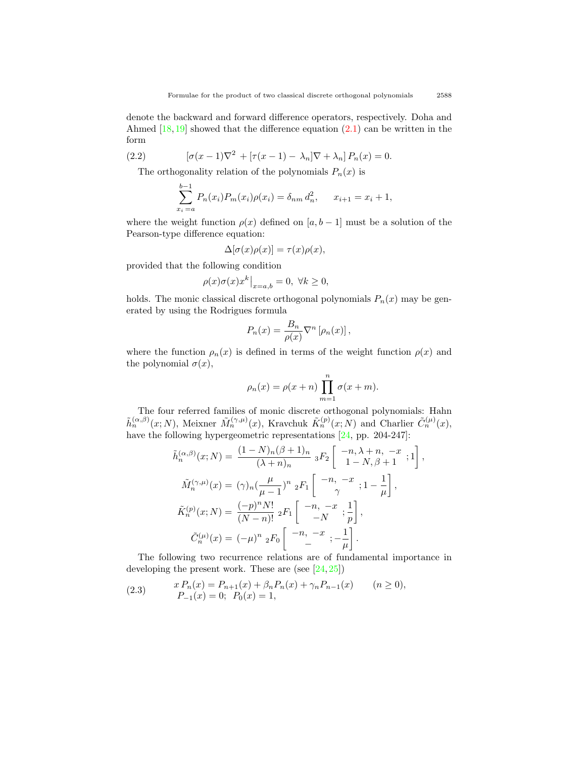denote the backward and forward difference operators, respectively. Doha and Ahmed $[18, 19]$  $[18, 19]$  $[18, 19]$  showed that the difference equation  $(2.1)$  $(2.1)$  can be written in the form

(2.2) 
$$
[\sigma(x-1)\nabla^{2} + [\tau(x-1) - \lambda_{n}]\nabla + \lambda_{n}] P_{n}(x) = 0.
$$

The orthogonality relation of the polynomials  $P_n(x)$  is

<span id="page-4-1"></span>
$$
\sum_{x_i=a}^{b-1} P_n(x_i) P_m(x_i) \rho(x_i) = \delta_{nm} d_n^2, \qquad x_{i+1} = x_i + 1,
$$

where the weight function  $\rho(x)$  defined on  $[a, b - 1]$  must be a solution of the Pearson-type difference equation:

$$
\Delta[\sigma(x)\rho(x)] = \tau(x)\rho(x),
$$

provided that the following condition

$$
\rho(x)\sigma(x)x^k\big|_{x=a,b}=0, \; \forall k\geq 0,
$$

holds. The monic classical discrete orthogonal polynomials  $P_n(x)$  may be generated by using the Rodrigues formula

$$
P_n(x) = \frac{B_n}{\rho(x)} \nabla^n \left[ \rho_n(x) \right],
$$

where the function  $\rho_n(x)$  is defined in terms of the weight function  $\rho(x)$  and the polynomial  $\sigma(x)$ ,

$$
\rho_n(x) = \rho(x+n) \prod_{m=1}^n \sigma(x+m).
$$

The four referred families of monic discrete orthogonal polynomials: Hahn  $\tilde{h}_n^{(\alpha,\beta)}(x;N)$ , Meixner  $\tilde{M}_n^{(\gamma,\mu)}(x)$ , Kravchuk  $\tilde{K}_n^{(p)}(x;N)$  and Charlier  $\tilde{C}_n^{(\mu)}(x)$ , havethe following hypergeometric representations [[24](#page-30-8), pp. 204-247]:

$$
\tilde{h}_n^{(\alpha,\beta)}(x;N) = \frac{(1-N)_n(\beta+1)_n}{(\lambda+n)_n} {}_3F_2 \left[ \begin{array}{c} -n, \lambda+n, -x \\ 1-N, \beta+1 \end{array} ; 1 \right],
$$
  

$$
\tilde{M}_n^{(\gamma,\mu)}(x) = (\gamma)_n \left( \frac{\mu}{\mu-1} \right)^n {}_2F_1 \left[ \begin{array}{c} -n, -x \\ \gamma \end{array} ; 1 - \frac{1}{\mu} \right],
$$
  

$$
\tilde{K}_n^{(p)}(x;N) = \frac{(-p)^n N!}{(N-n)!} {}_2F_1 \left[ \begin{array}{c} -n, -x \\ -N \end{array} ; \frac{1}{p} \right],
$$
  

$$
\tilde{C}_n^{(\mu)}(x) = (-\mu)^n {}_2F_0 \left[ \begin{array}{c} -n, -x \\ - \end{array} ; -\frac{1}{\mu} \right].
$$

The following two recurrence relations are of fundamental importance in developingthe present work. These are (see  $[24, 25]$  $[24, 25]$  $[24, 25]$  $[24, 25]$ )

<span id="page-4-0"></span>(2.3) 
$$
x P_n(x) = P_{n+1}(x) + \beta_n P_n(x) + \gamma_n P_{n-1}(x) \qquad (n \ge 0),
$$

$$
P_{-1}(x) = 0; \quad P_0(x) = 1,
$$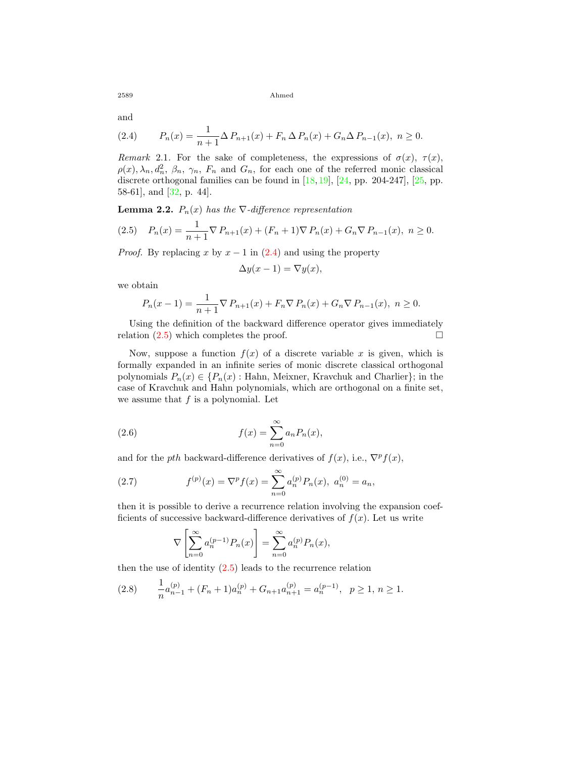and

<span id="page-5-0"></span>(2.4) 
$$
P_n(x) = \frac{1}{n+1} \Delta P_{n+1}(x) + F_n \Delta P_n(x) + G_n \Delta P_{n-1}(x), \quad n \ge 0.
$$

*Remark* 2.1. For the sake of completeness, the expressions of  $\sigma(x)$ ,  $\tau(x)$ ,  $\rho(x), \lambda_n, d_n^2, \beta_n, \gamma_n, F_n$  and  $G_n$ , for each one of the referred monic classical discreteorthogonal families can be found in  $[18,19]$  $[18,19]$  $[18,19]$  $[18,19]$  $[18,19]$ ,  $[24$  $[24$ , pp. 204-247],  $[25$ , pp. 58-61], and [\[32](#page-30-0), p. 44].

**Lemma 2.2.**  $P_n(x)$  has the  $\nabla$ -difference representation

<span id="page-5-1"></span>
$$
(2.5) \quad P_n(x) = \frac{1}{n+1} \nabla P_{n+1}(x) + (F_n + 1) \nabla P_n(x) + G_n \nabla P_{n-1}(x), \ n \ge 0.
$$

*Proof.* By replacing *x* by  $x - 1$  in [\(2.4\)](#page-5-0) and using the property

$$
\Delta y(x-1) = \nabla y(x),
$$

we obtain

$$
P_n(x-1) = \frac{1}{n+1} \nabla P_{n+1}(x) + F_n \nabla P_n(x) + G_n \nabla P_{n-1}(x), \quad n \ge 0.
$$

Using the definition of the backward difference operator gives immediately relation  $(2.5)$  which completes the proof.  $\Box$ 

Now, suppose a function  $f(x)$  of a discrete variable x is given, which is formally expanded in an infinite series of monic discrete classical orthogonal polynomials  $P_n(x) \in \{P_n(x): \text{Hahn, Meixner, Kravchuk and Charlier}\};\$  in the case of Kravchuk and Hahn polynomials, which are orthogonal on a finite set, we assume that *f* is a polynomial. Let

<span id="page-5-2"></span>(2.6) 
$$
f(x) = \sum_{n=0}^{\infty} a_n P_n(x),
$$

and for the *pth* backward-difference derivatives of  $f(x)$ , i.e.,  $\nabla^p f(x)$ ,

(2.7) 
$$
f^{(p)}(x) = \nabla^p f(x) = \sum_{n=0}^{\infty} a_n^{(p)} P_n(x), \ a_n^{(0)} = a_n,
$$

then it is possible to derive a recurrence relation involving the expansion coefficients of successive backward-difference derivatives of  $f(x)$ . Let us write

<span id="page-5-3"></span>
$$
\nabla \left[ \sum_{n=0}^{\infty} a_n^{(p-1)} P_n(x) \right] = \sum_{n=0}^{\infty} a_n^{(p)} P_n(x),
$$

then the use of identity  $(2.5)$  leads to the recurrence relation

<span id="page-5-4"></span>
$$
(2.8) \qquad \frac{1}{n}a_{n-1}^{(p)} + (F_n + 1)a_n^{(p)} + G_{n+1}a_{n+1}^{(p)} = a_n^{(p-1)}, \quad p \ge 1, \ n \ge 1.
$$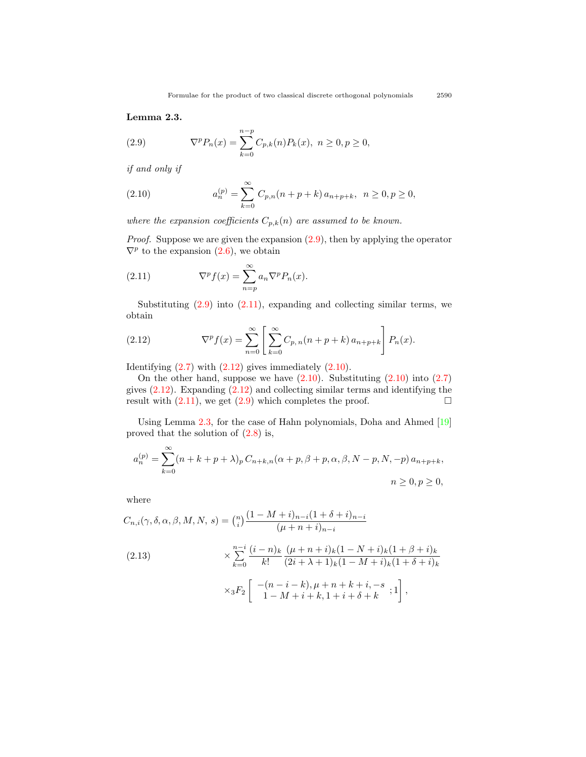<span id="page-6-4"></span>**Lemma 2.3.**

<span id="page-6-0"></span>(2.9) 
$$
\nabla^p P_n(x) = \sum_{k=0}^{n-p} C_{p,k}(n) P_k(x), \ n \ge 0, p \ge 0,
$$

*if and only if*

<span id="page-6-3"></span>(2.10) 
$$
a_n^{(p)} = \sum_{k=0}^{\infty} C_{p,n}(n+p+k) a_{n+p+k}, \quad n \ge 0, p \ge 0,
$$

*where the expansion coefficients*  $C_{p,k}(n)$  *are assumed to be known.* 

*Proof.* Suppose we are given the expansion  $(2.9)$ , then by applying the operator  $\nabla^p$ to the expansion  $(2.6)$  $(2.6)$ , we obtain

<span id="page-6-1"></span>(2.11) 
$$
\nabla^p f(x) = \sum_{n=p}^{\infty} a_n \nabla^p P_n(x).
$$

Substituting  $(2.9)$  into  $(2.11)$ , expanding and collecting similar terms, we obtain

<span id="page-6-2"></span>(2.12) 
$$
\nabla^p f(x) = \sum_{n=0}^{\infty} \left[ \sum_{k=0}^{\infty} C_{p,n}(n+p+k) a_{n+p+k} \right] P_n(x).
$$

Identifying $(2.7)$  with  $(2.12)$  $(2.12)$  gives immediately  $(2.10)$  $(2.10)$ .

Onthe other hand, suppose we have  $(2.10)$  $(2.10)$ . Substituting  $(2.10)$  $(2.10)$  $(2.10)$  into  $(2.7)$  $(2.7)$  $(2.7)$ gives $(2.12)$  $(2.12)$  $(2.12)$ . Expanding  $(2.12)$  and collecting similar terms and identifying the result with  $(2.11)$ , we get  $(2.9)$  which completes the proof.  $\Box$ 

Using Lemma [2.3](#page-6-4), for the case of Hahn polynomials, Doha and Ahmed[[19](#page-29-5)] proved that the solution of([2.8\)](#page-5-4) is,

$$
a_n^{(p)} = \sum_{k=0}^{\infty} (n+k+p+\lambda)_p C_{n+k,n}(\alpha+p,\beta+p,\alpha,\beta,N-p,N,-p) a_{n+p+k},
$$
  

$$
n \ge 0, p \ge 0,
$$

where

<span id="page-6-5"></span>
$$
C_{n,i}(\gamma, \delta, \alpha, \beta, M, N, s) = \binom{n}{i} \frac{(1 - M + i)_{n-i}(1 + \delta + i)_{n-i}}{(\mu + n + i)_{n-i}}
$$
  
(2.13)  

$$
\times \sum_{k=0}^{n-i} \frac{(i - n)_k}{k!} \frac{(\mu + n + i)_k (1 - N + i)_k (1 + \beta + i)_k}{(2i + \lambda + 1)_k (1 - M + i)_k (1 + \delta + i)_k}
$$
  

$$
\times {}_3F_2 \left[ \begin{array}{c} -(n - i - k), \mu + n + k + i, -s \\ 1 - M + i + k, 1 + i + \delta + k \end{array}; 1 \right],
$$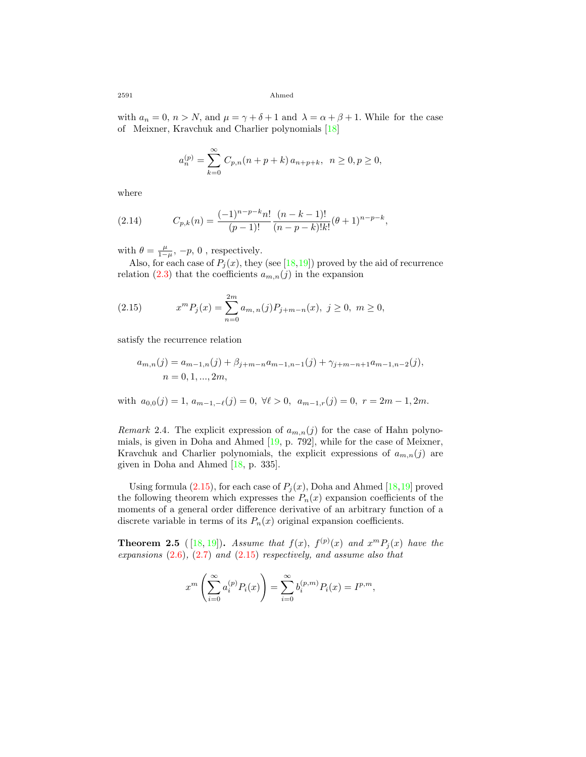with  $a_n = 0$ ,  $n > N$ , and  $\mu = \gamma + \delta + 1$  and  $\lambda = \alpha + \beta + 1$ . While for the case of Meixner, Kravchuk and Charlier polynomials[[18](#page-29-10)]

$$
a_n^{(p)} = \sum_{k=0}^{\infty} C_{p,n}(n+p+k) a_{n+p+k}, \ \ n \ge 0, p \ge 0,
$$

where

<span id="page-7-1"></span>(2.14) 
$$
C_{p,k}(n) = \frac{(-1)^{n-p-k}n!}{(p-1)!} \frac{(n-k-1)!}{(n-p-k)!k!} (\theta+1)^{n-p-k},
$$

with  $\theta = \frac{\mu}{1-\mu}$ ,  $-p$ , 0, respectively.

Also,for each case of  $P_j(x)$ , they (see [[18,](#page-29-10)[19](#page-29-5)]) proved by the aid of recurrence relation  $(2.3)$  that the coefficients  $a_{m,n}(j)$  in the expansion

<span id="page-7-0"></span>(2.15) 
$$
x^m P_j(x) = \sum_{n=0}^{2m} a_{m,n}(j) P_{j+m-n}(x), \ j \ge 0, \ m \ge 0,
$$

satisfy the recurrence relation

$$
a_{m,n}(j) = a_{m-1,n}(j) + \beta_{j+m-n} a_{m-1,n-1}(j) + \gamma_{j+m-n+1} a_{m-1,n-2}(j),
$$
  
\n
$$
n = 0, 1, ..., 2m,
$$

with  $a_{0,0}(j) = 1, a_{m-1,-\ell}(j) = 0, \forall \ell > 0, a_{m-1,r}(j) = 0, r = 2m - 1, 2m.$ 

*Remark* 2.4. The explicit expression of  $a_{m,n}(j)$  for the case of Hahn polynomials, is given in Doha and Ahmed[[19](#page-29-5), p. 792], while for the case of Meixner, Kravchuk and Charlier polynomials, the explicit expressions of  $a_{m,n}(j)$  are given in Doha and Ahmed[[18,](#page-29-10) p. 335].

Usingformula  $(2.15)$  $(2.15)$  $(2.15)$ , for each case of  $P_j(x)$ , Doha and Ahmed [[18,](#page-29-10)[19\]](#page-29-5) proved the following theorem which expresses the  $P_n(x)$  expansion coefficients of the moments of a general order difference derivative of an arbitrary function of a discrete variable in terms of its  $P_n(x)$  original expansion coefficients.

**Theorem 2.5** ([18, [19](#page-29-5)]). *Assume that*  $f(x)$ ,  $f^{(p)}(x)$  *and*  $x^m P_j(x)$  *have the expansions* ([2.6](#page-5-2))*,* ([2.7](#page-5-3)) *and* [\(2.15\)](#page-7-0) *respectively, and assume also that*

$$
x^{m}\left(\sum_{i=0}^{\infty} a_{i}^{(p)} P_{i}(x)\right) = \sum_{i=0}^{\infty} b_{i}^{(p,m)} P_{i}(x) = I^{p,m},
$$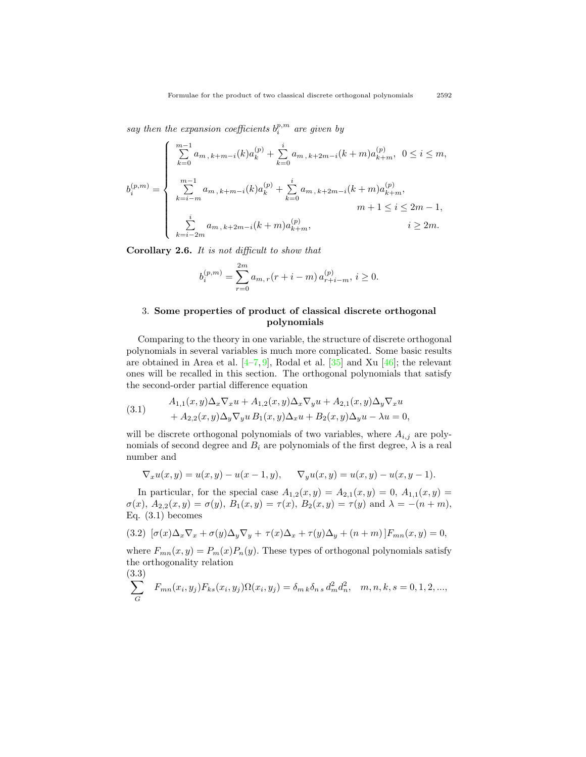*say then the expansion coefficients*  $b_i^{p,m}$  are given by

$$
b_i^{(p,m)} = \begin{cases} \sum_{k=0}^{m-1} a_{m,k+m-i}(k) a_k^{(p)} + \sum_{k=0}^i a_{m,k+2m-i}(k+m) a_{k+m}^{(p)}, & 0 \le i \le m, \\ \sum_{k=i-m}^{m-1} a_{m,k+m-i}(k) a_k^{(p)} + \sum_{k=0}^i a_{m,k+2m-i}(k+m) a_{k+m}^{(p)}, & m+1 \le i \le 2m-1, \\ \sum_{k=i-2m}^i a_{m,k+2m-i}(k+m) a_{k+m}^{(p)}, & i \ge 2m. \end{cases}
$$

<span id="page-8-1"></span>**Corollary 2.6.** *It is not difficult to show that*

$$
b_i^{(p,m)} = \sum_{r=0}^{2m} a_{m,r}(r+i-m) a_{r+i-m}^{(p)}, i \ge 0.
$$

### 3. **Some properties of product of classical discrete orthogonal polynomials**

Comparing to the theory in one variable, the structure of discrete orthogonal polynomials in several variables is much more complicated. Some basic results areobtained in Area et al.  $[4-7, 9]$  $[4-7, 9]$  $[4-7, 9]$  $[4-7, 9]$  $[4-7, 9]$ , Rodal et al.  $[35]$  and Xu  $[46]$ ; the relevant ones will be recalled in this section. The orthogonal polynomials that satisfy the second-order partial difference equation

(3.1) 
$$
A_{1,1}(x,y)\Delta_x \nabla_x u + A_{1,2}(x,y)\Delta_x \nabla_y u + A_{2,1}(x,y)\Delta_y \nabla_x u + A_{2,2}(x,y)\Delta_y \nabla_y u B_1(x,y)\Delta_x u + B_2(x,y)\Delta_y u - \lambda u = 0,
$$

will be discrete orthogonal polynomials of two variables, where  $A_{i,j}$  are polynomials of second degree and  $B_i$  are polynomials of the first degree,  $\lambda$  is a real number and

$$
\nabla_x u(x, y) = u(x, y) - u(x - 1, y), \quad \nabla_y u(x, y) = u(x, y) - u(x, y - 1).
$$

In particular, for the special case  $A_{1,2}(x,y) = A_{2,1}(x,y) = 0, A_{1,1}(x,y) = 0$  $\sigma(x)$ ,  $A_{2,2}(x,y) = \sigma(y)$ ,  $B_1(x,y) = \tau(x)$ ,  $B_2(x,y) = \tau(y)$  and  $\lambda = -(n+m)$ , Eq. (3.1) becomes

<span id="page-8-0"></span>(3.2) 
$$
[\sigma(x)\Delta_x \nabla_x + \sigma(y)\Delta_y \nabla_y + \tau(x)\Delta_x + \tau(y)\Delta_y + (n+m)]F_{mn}(x,y) = 0,
$$

where  $F_{mn}(x, y) = P_m(x)P_n(y)$ . These types of orthogonal polynomials satisfy the orthogonality relation  $(9.9)$ 

$$
\sum_{G} F_{mn}(x_i, y_j) F_{ks}(x_i, y_j) \Omega(x_i, y_j) = \delta_{mk} \delta_{ns} d_m^2 d_n^2, \quad m, n, k, s = 0, 1, 2, \dots,
$$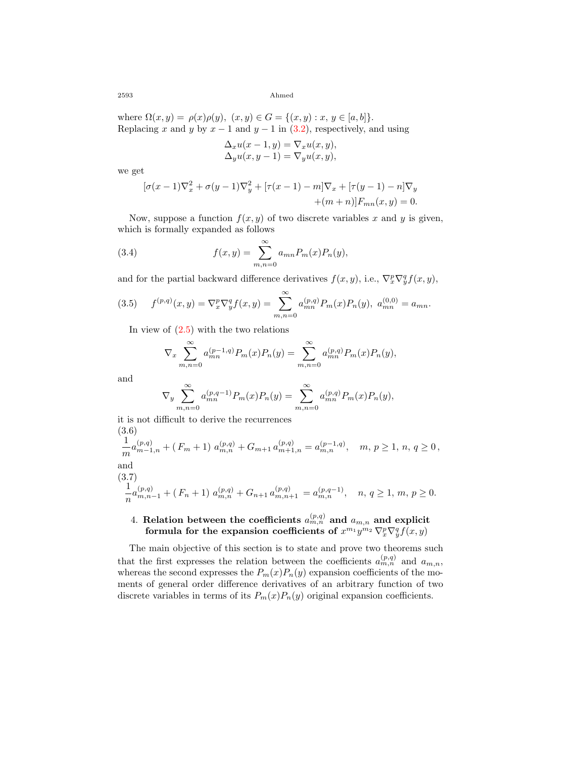where  $\Omega(x, y) = \rho(x)\rho(y), (x, y) \in G = \{(x, y) : x, y \in [a, b]\}.$ Replacing*x* and *y* by  $x - 1$  and  $y - 1$  in ([3.2](#page-8-0)), respectively, and using

$$
\Delta_x u(x-1, y) = \nabla_x u(x, y),
$$
  
\n
$$
\Delta_y u(x, y-1) = \nabla_y u(x, y),
$$

we get

<span id="page-9-1"></span>
$$
[\sigma(x-1)\nabla_x^2 + \sigma(y-1)\nabla_y^2 + [\tau(x-1) - m]\nabla_x + [\tau(y-1) - n]\nabla_y
$$
  
+(m+n)] $F_{mn}(x, y) = 0$ .

Now, suppose a function  $f(x, y)$  of two discrete variables x and y is given, which is formally expanded as follows

(3.4) 
$$
f(x,y) = \sum_{m,n=0}^{\infty} a_{mn} P_m(x) P_n(y),
$$

and for the partial backward difference derivatives  $f(x, y)$ , i.e.,  $\nabla_x^p \nabla_y^q f(x, y)$ ,

<span id="page-9-0"></span>(3.5) 
$$
f^{(p,q)}(x,y) = \nabla_x^p \nabla_y^q f(x,y) = \sum_{m,n=0}^{\infty} a_{mn}^{(p,q)} P_m(x) P_n(y), \ a_{mn}^{(0,0)} = a_{mn}.
$$

In view of  $(2.5)$  with the two relations

$$
\nabla_x \sum_{m,n=0}^{\infty} a_{mn}^{(p-1,q)} P_m(x) P_n(y) = \sum_{m,n=0}^{\infty} a_{mn}^{(p,q)} P_m(x) P_n(y),
$$

and

$$
\nabla_y \sum_{m,n=0}^{\infty} a_{mn}^{(p,q-1)} P_m(x) P_n(y) = \sum_{m,n=0}^{\infty} a_{mn}^{(p,q)} P_m(x) P_n(y),
$$

it is not difficult to derive the recurrences (3.6)

<span id="page-9-2"></span>
$$
\frac{1}{m}a_{m-1,n}^{(p,q)} + (F_m + 1) a_{m,n}^{(p,q)} + G_{m+1} a_{m+1,n}^{(p,q)} = a_{m,n}^{(p-1,q)}, \quad m, p \ge 1, n, q \ge 0,
$$
  
and  

$$
\frac{(3.7)}{n}a_{m,n-1}^{(p,q)} + (F_n + 1) a_{m,n}^{(p,q)} + G_{n+1} a_{m,n+1}^{(p,q)} = a_{m,n}^{(p,q-1)}, \quad n, q \ge 1, m, p \ge 0.
$$

## <span id="page-9-3"></span> $4.$  **Relation** between the coefficients  $a_{m,n}^{(p,q)}$  and  $a_{m,n}$  and explicit formula for the expansion coefficients of  $x^{m_1}y^{m_2} \nabla_x^p \nabla_y^q f(x, y)$

The main objective of this section is to state and prove two theorems such that the first expresses the relation between the coefficients  $a_{m,n}^{(p,q)}$  and  $a_{m,n}$ , whereas the second expresses the  $P_m(x)P_n(y)$  expansion coefficients of the moments of general order difference derivatives of an arbitrary function of two discrete variables in terms of its  $P_m(x)P_n(y)$  original expansion coefficients.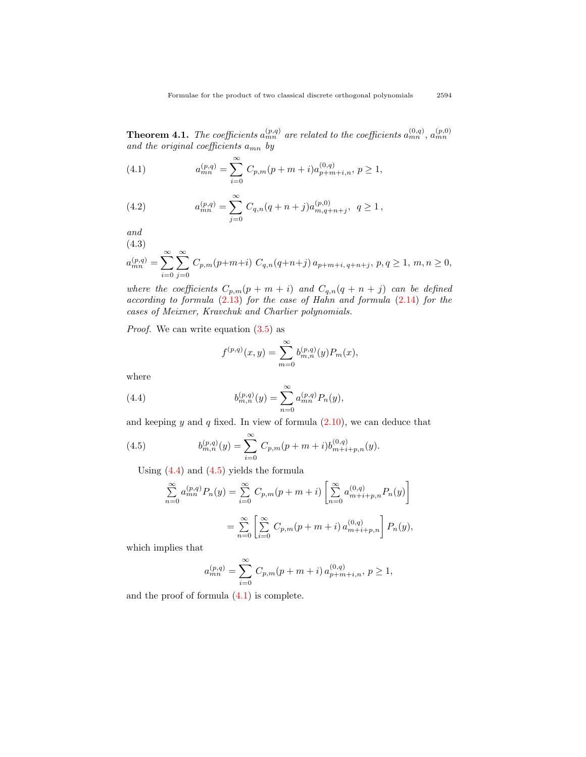<span id="page-10-5"></span>**Theorem 4.1.** *The coefficients*  $a_{mn}^{(p,q)}$  *are related to the coefficients*  $a_{mn}^{(0,q)}$ ,  $a_{mn}^{(p,0)}$ *and the original coefficients amn by*

<span id="page-10-2"></span>(4.1) 
$$
a_{mn}^{(p,q)} = \sum_{i=0}^{\infty} C_{p,m}(p+m+i)a_{p+m+i,n}^{(0,q)}, p \ge 1,
$$

<span id="page-10-3"></span>(4.2) 
$$
a_{mn}^{(p,q)} = \sum_{j=0}^{\infty} C_{q,n}(q+n+j)a_{m,q+n+j}^{(p,0)}, q \ge 1,
$$

*and*

(4.3)

<span id="page-10-4"></span>
$$
a_{mn}^{(p,q)} = \sum_{i=0}^{\infty} \sum_{j=0}^{\infty} C_{p,m}(p+m+i) C_{q,n}(q+n+j) a_{p+m+i,q+n+j}, p, q \ge 1, m, n \ge 0,
$$

*where the coefficients*  $C_{p,m}(p + m + i)$  *and*  $C_{q,n}(q + n + j)$  *can be defined according to formula* ([2.13\)](#page-6-5) *for the case of Hahn and formula* ([2.14](#page-7-1)) *for the cases of Meixner, Kravchuk and Charlier polynomials.*

*Proof.* We can write equation([3.5\)](#page-9-0) as

<span id="page-10-0"></span>
$$
f^{(p,q)}(x,y) = \sum_{m=0}^{\infty} b_{m,n}^{(p,q)}(y) P_m(x),
$$

where

(4.4) 
$$
b_{m,n}^{(p,q)}(y) = \sum_{n=0}^{\infty} a_{mn}^{(p,q)} P_n(y),
$$

andkeeping  $y$  and  $q$  fixed. In view of formula  $(2.10)$  $(2.10)$  $(2.10)$ , we can deduce that

(4.5) 
$$
b_{m,n}^{(p,q)}(y) = \sum_{i=0}^{\infty} C_{p,m}(p+m+i)b_{m+i+p,n}^{(0,q)}(y).
$$

Using  $(4.4)$  and  $(4.5)$  yields the formula

<span id="page-10-1"></span>
$$
\sum_{n=0}^{\infty} a_{mn}^{(p,q)} P_n(y) = \sum_{i=0}^{\infty} C_{p,m}(p+m+i) \left[ \sum_{n=0}^{\infty} a_{m+i+p,n}^{(0,q)} P_n(y) \right]
$$

$$
= \sum_{n=0}^{\infty} \left[ \sum_{i=0}^{\infty} C_{p,m}(p+m+i) a_{m+i+p,n}^{(0,q)} \right] P_n(y),
$$

which implies that

$$
a_{mn}^{(p,q)} = \sum_{i=0}^{\infty} C_{p,m}(p+m+i) a_{p+m+i,n}^{(0,q)}, p \ge 1,
$$

and the proof of formula [\(4.1](#page-10-2)) is complete.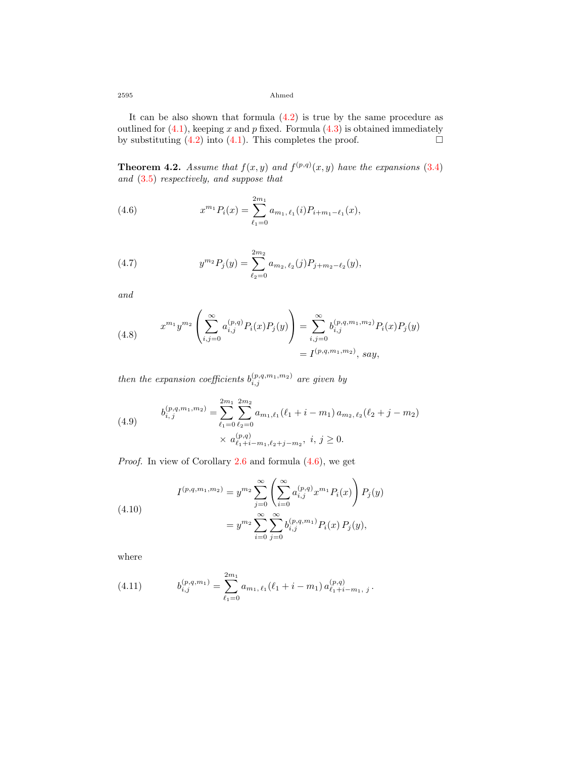It can be also shown that formula  $(4.2)$  is true by the same procedure as outlined for  $(4.1)$  $(4.1)$ , keeping *x* and *p* fixed. Formula  $(4.3)$  is obtained immediately by substituting  $(4.2)$  into  $(4.1)$ . This completes the proof.  $\Box$ 

<span id="page-11-5"></span>**Theorem 4.2.** *Assume that*  $f(x, y)$  *and*  $f^{(p,q)}(x, y)$  *have the expansions* ([3.4](#page-9-1)) *and* [\(3.5](#page-9-0)) *respectively, and suppose that*

<span id="page-11-0"></span>(4.6) 
$$
x^{m_1} P_i(x) = \sum_{\ell_1=0}^{2m_1} a_{m_1,\,\ell_1}(i) P_{i+m_1-\ell_1}(x),
$$

<span id="page-11-1"></span>(4.7) 
$$
y^{m_2} P_j(y) = \sum_{\ell_2=0}^{2m_2} a_{m_2,\ell_2}(j) P_{j+m_2-\ell_2}(y),
$$

*and*

<span id="page-11-6"></span>(4.8) 
$$
x^{m_1}y^{m_2}\left(\sum_{i,j=0}^{\infty}a_{i,j}^{(p,q)}P_i(x)P_j(y)\right) = \sum_{i,j=0}^{\infty}b_{i,j}^{(p,q,m_1,m_2)}P_i(x)P_j(y) = I^{(p,q,m_1,m_2)}, say,
$$

*then the expansion coefficients*  $b_{i,j}^{(p,q,m_1,m_2)}$  *are given by* 

<span id="page-11-4"></span>(4.9) 
$$
b_{i,j}^{(p,q,m_1,m_2)} = \sum_{\ell_1=0}^{2m_1} \sum_{\ell_2=0}^{2m_2} a_{m_1,\ell_1} (\ell_1 + i - m_1) a_{m_2,\ell_2} (\ell_2 + j - m_2)
$$

$$
\times a_{\ell_1+i-m_1,\ell_2+j-m_2}^{(p,q)}, \quad i, j \ge 0.
$$

*Proof.* In view of Corollary [2.6](#page-8-1) and formula([4.6\)](#page-11-0), we get

<span id="page-11-2"></span>(4.10)  

$$
I^{(p,q,m_1,m_2)} = y^{m_2} \sum_{j=0}^{\infty} \left( \sum_{i=0}^{\infty} a_{i,j}^{(p,q)} x^{m_1} P_i(x) \right) P_j(y)
$$

$$
= y^{m_2} \sum_{i=0}^{\infty} \sum_{j=0}^{\infty} b_{i,j}^{(p,q,m_1)} P_i(x) P_j(y),
$$

where

<span id="page-11-3"></span>(4.11) 
$$
b_{i,j}^{(p,q,m_1)} = \sum_{\ell_1=0}^{2m_1} a_{m_1,\ell_1}(\ell_1+i-m_1) a_{\ell_1+i-m_1,\ j}^{(p,q)}.
$$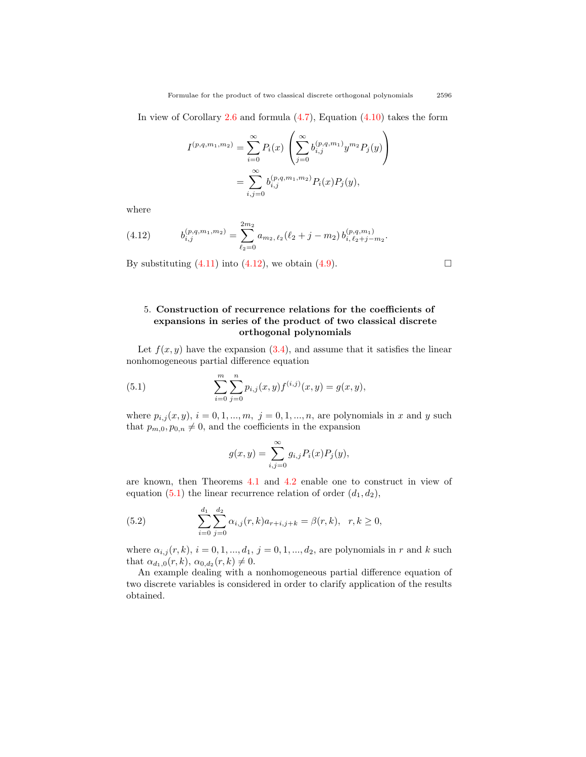Inview of Corollary  $2.6$  and formula  $(4.7)$  $(4.7)$  $(4.7)$ , Equation  $(4.10)$  takes the form

$$
I^{(p,q,m_1,m_2)} = \sum_{i=0}^{\infty} P_i(x) \left( \sum_{j=0}^{\infty} b_{i,j}^{(p,q,m_1)} y^{m_2} P_j(y) \right)
$$
  
= 
$$
\sum_{i,j=0}^{\infty} b_{i,j}^{(p,q,m_1,m_2)} P_i(x) P_j(y),
$$

where

<span id="page-12-0"></span>(4.12) 
$$
b_{i,j}^{(p,q,m_1,m_2)} = \sum_{\ell_2=0}^{2m_2} a_{m_2,\ell_2}(\ell_2+j-m_2) b_{i,\ell_2+j-m_2}^{(p,q,m_1)}.
$$

By substituting  $(4.11)$  into  $(4.12)$ , we obtain  $(4.9)$ .

#### 5. **Construction of recurrence relations for the coefficients of expansions in series of the product of two classical discrete orthogonal polynomials**

Let  $f(x, y)$  have the expansion  $(3.4)$ , and assume that it satisfies the linear nonhomogeneous partial difference equation

(5.1) 
$$
\sum_{i=0}^{m} \sum_{j=0}^{n} p_{i,j}(x, y) f^{(i,j)}(x, y) = g(x, y),
$$

where  $p_{i,j}(x, y)$ ,  $i = 0, 1, ..., m$ ,  $j = 0, 1, ..., n$ , are polynomials in *x* and *y* such that  $p_{m,0}, p_{0,n} \neq 0$ , and the coefficients in the expansion

<span id="page-12-1"></span>
$$
g(x,y) = \sum_{i,j=0}^{\infty} g_{i,j} P_i(x) P_j(y),
$$

are known, then Theorems [4.1](#page-10-5) and [4.2](#page-11-5) enable one to construct in view of equation([5.1](#page-12-1)) the linear recurrence relation of order  $(d_1, d_2)$ ,

<span id="page-12-2"></span>(5.2) 
$$
\sum_{i=0}^{d_1} \sum_{j=0}^{d_2} \alpha_{i,j}(r,k) a_{r+i,j+k} = \beta(r,k), \quad r, k \ge 0,
$$

where  $\alpha_{i,j}(r, k)$ ,  $i = 0, 1, ..., d_1, j = 0, 1, ..., d_2$ , are polynomials in *r* and *k* such that  $\alpha_{d_1,0}(r,k), \alpha_{0,d_2}(r,k) \neq 0$ .

An example dealing with a nonhomogeneous partial difference equation of two discrete variables is considered in order to clarify application of the results obtained.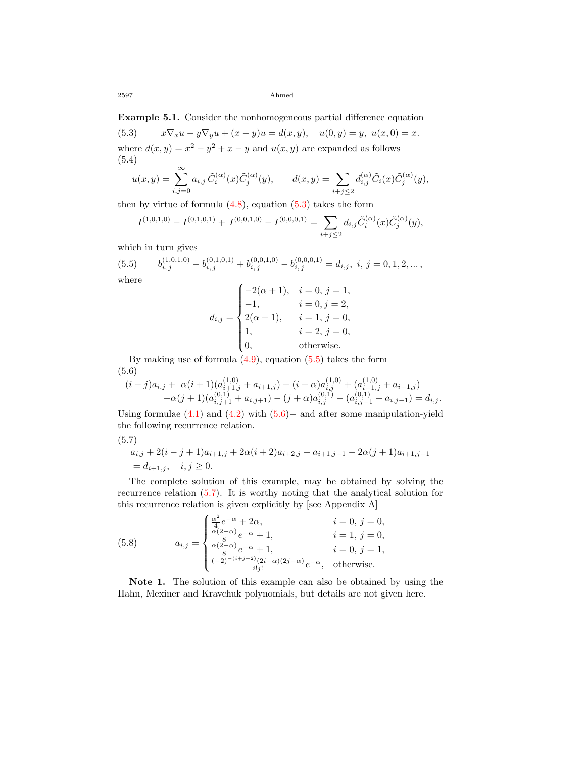**Example 5.1.** Consider the nonhomogeneous partial difference equation

<span id="page-13-0"></span>(5.3)  $x\nabla_x u - y\nabla_y u + (x - y)u = d(x, y), \quad u(0, y) = y, \ u(x, 0) = x.$ where  $d(x, y) = x^2 - y^2 + x - y$  and  $u(x, y)$  are expanded as follows (5.4)

<span id="page-13-4"></span>
$$
u(x,y) = \sum_{i,j=0}^{\infty} a_{i,j} \, \tilde{C}_i^{(\alpha)}(x) \tilde{C}_j^{(\alpha)}(y), \qquad d(x,y) = \sum_{i+j \le 2} d_{i,j}^{(\alpha)} \tilde{C}_i(x) \tilde{C}_j^{(\alpha)}(y),
$$

thenby virtue of formula  $(4.8)$ , equation  $(5.3)$  $(5.3)$  $(5.3)$  takes the form

$$
I^{(1,0,1,0)} - I^{(0,1,0,1)} + I^{(0,0,1,0)} - I^{(0,0,0,1)} = \sum_{i+j \leq 2} d_{i,j} \tilde{C}_i^{(\alpha)}(x) \tilde{C}_j^{(\alpha)}(y),
$$

which in turn gives

<span id="page-13-1"></span> $(5.5)$  $\hat{b}_{i,j}^{(1,0,1,0)} - b_{i,j}^{(0,1,0,1)} + b_{i,j}^{(0,0,1,0)} - b_{i,j}^{(0,0,0,1)} = d_{i,j}, \; i,j = 0,1,2,...\,,$ where  $\int -2(\alpha + 1)$ ,  $i = 0, j = 1$ ,

$$
d_{i,j} = \begin{cases}\n-2(\alpha + 1), & i = 0, j = 1, \\
-1, & i = 0, j = 2, \\
2(\alpha + 1), & i = 1, j = 0, \\
1, & i = 2, j = 0, \\
0, & \text{otherwise.} \n\end{cases}
$$

Bymaking use of formula  $(4.9)$  $(4.9)$  $(4.9)$ , equation  $(5.5)$  $(5.5)$  takes the form (5.6)

<span id="page-13-2"></span>
$$
(i-j)a_{i,j} + \alpha(i+1)(a_{i+1,j}^{(1,0)} + a_{i+1,j}) + (i+\alpha)a_{i,j}^{(1,0)} + (a_{i-1,j}^{(1,0)} + a_{i-1,j})
$$
  
- $\alpha(j+1)(a_{i,j+1}^{(0,1)} + a_{i,j+1}) - (j+\alpha)a_{i,j}^{(0,1)} - (a_{i,j-1}^{(0,1)} + a_{i,j-1}) = d_{i,j}.$ 

Using formulae([4.1\)](#page-10-2) and [\(4.2\)](#page-10-3) with([5.6\)](#page-13-2)*−* and after some manipulation-yield the following recurrence relation.

<span id="page-13-3"></span>(5.7)

$$
a_{i,j} + 2(i - j + 1)a_{i+1,j} + 2\alpha(i + 2)a_{i+2,j} - a_{i+1,j-1} - 2\alpha(j + 1)a_{i+1,j+1}
$$
  
=  $d_{i+1,j}$ ,  $i, j \ge 0$ .

The complete solution of this example, may be obtained by solving the recurrence relation([5.7\)](#page-13-3). It is worthy noting that the analytical solution for this recurrence relation is given explicitly by [see Appendix A]

<span id="page-13-5"></span>(5.8) 
$$
a_{i,j} = \begin{cases} \frac{\alpha^2}{4}e^{-\alpha} + 2\alpha, & i = 0, j = 0, \\ \frac{\alpha(2-\alpha)}{2}e^{-\alpha} + 1, & i = 1, j = 0, \\ \frac{\alpha(2-\alpha)}{8}e^{-\alpha} + 1, & i = 0, j = 1, \\ \frac{(-2)^{-(i+j+2)}(2i-\alpha)(2j-\alpha)}{i!j!}e^{-\alpha}, & \text{otherwise.} \end{cases}
$$

**Note 1.** The solution of this example can also be obtained by using the Hahn, Mexiner and Kravchuk polynomials, but details are not given here.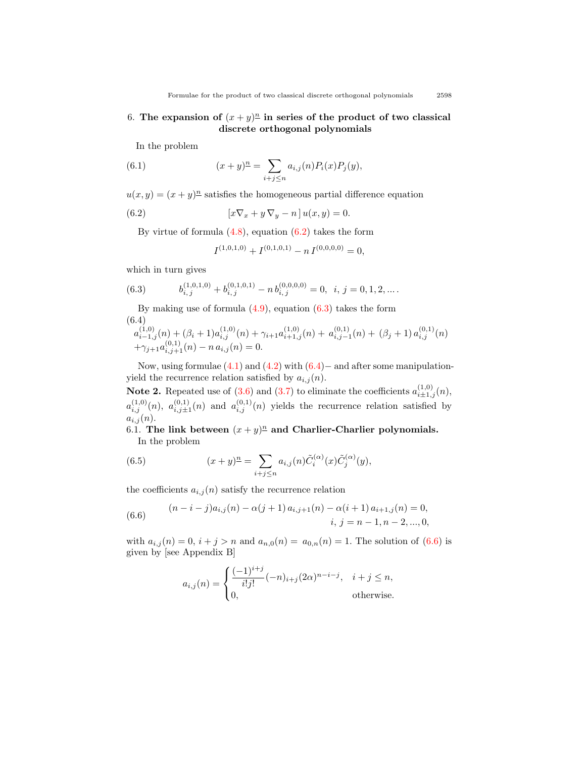## 6. The expansion of  $(x+y)^n$  in series of the product of two classical **discrete orthogonal polynomials**

In the problem

(6.1) 
$$
(x+y)^n = \sum_{i+j \le n} a_{i,j}(n) P_i(x) P_j(y),
$$

 $u(x, y) = (x + y)^n$  satisfies the homogeneous partial difference equation

(6.2) 
$$
\left[x\nabla_x + y\nabla_y - n\right]u(x,y) = 0.
$$

Byvirtue of formula  $(4.8)$  $(4.8)$  $(4.8)$ , equation  $(6.2)$  $(6.2)$  takes the form

<span id="page-14-1"></span><span id="page-14-0"></span>
$$
I^{(1,0,1,0)} + I^{(0,1,0,1)} - n I^{(0,0,0,0)} = 0,
$$

which in turn gives

(6.3) 
$$
b_{i,j}^{(1,0,1,0)} + b_{i,j}^{(0,1,0,1)} - n b_{i,j}^{(0,0,0,0)} = 0, \ i, j = 0, 1, 2, ...
$$

Bymaking use of formula  $(4.9)$  $(4.9)$ , equation  $(6.3)$  takes the form (6.4)

<span id="page-14-2"></span>
$$
a_{i-1,j}^{(1,0)}(n) + (\beta_i + 1)a_{i,j}^{(1,0)}(n) + \gamma_{i+1}a_{i+1,j}^{(1,0)}(n) + a_{i,j-1}^{(0,1)}(n) + (\beta_j + 1)a_{i,j}^{(0,1)}(n) + \gamma_{j+1}a_{i,j+1}^{(0,1)}(n) - n a_{i,j}(n) = 0.
$$

Now, using formulae [\(4.1](#page-10-2)) and [\(4.2](#page-10-3)) with([6.4](#page-14-2))*−* and after some manipulationyield the recurrence relation satisfied by  $a_{i,j}(n)$ .

**Note2.** Repeated use of  $(3.6)$  $(3.6)$  $(3.6)$  and  $(3.7)$  $(3.7)$  $(3.7)$  to eliminate the coefficients  $a_{i\pm 1,j}^{(1,0)}(n)$ ,  $a_{i,j}^{(1,0)}(n)$ ,  $a_{i,j\pm1}^{(0,1)}(n)$  and  $a_{i,j}^{(0,1)}(n)$  yields the recurrence relation satisfied by  $a_{i,j}(n)$ .

6.1. The link between  $(x + y)^n$  and Charlier-Charlier polynomials. In the problem

<span id="page-14-4"></span>(6.5) 
$$
(x+y)^{\underline{n}} = \sum_{i+j \leq n} a_{i,j}(n) \tilde{C}_i^{(\alpha)}(x) \tilde{C}_j^{(\alpha)}(y),
$$

the coefficients  $a_{i,j}(n)$  satisfy the recurrence relation

<span id="page-14-3"></span>(6.6) 
$$
(n-i-j)a_{i,j}(n) - \alpha(j+1)a_{i,j+1}(n) - \alpha(i+1)a_{i+1,j}(n) = 0,
$$
  
\n
$$
i, j = n-1, n-2, ..., 0,
$$

with $a_{i,j}(n) = 0$ ,  $i + j > n$  and  $a_{n,0}(n) = a_{0,n}(n) = 1$ . The solution of ([6.6](#page-14-3)) is given by [see Appendix B]

$$
a_{i,j}(n) = \begin{cases} \frac{(-1)^{i+j}}{i!j!}(-n)_{i+j}(2\alpha)^{n-i-j}, & i+j \leq n, \\ 0, & \text{otherwise.} \end{cases}
$$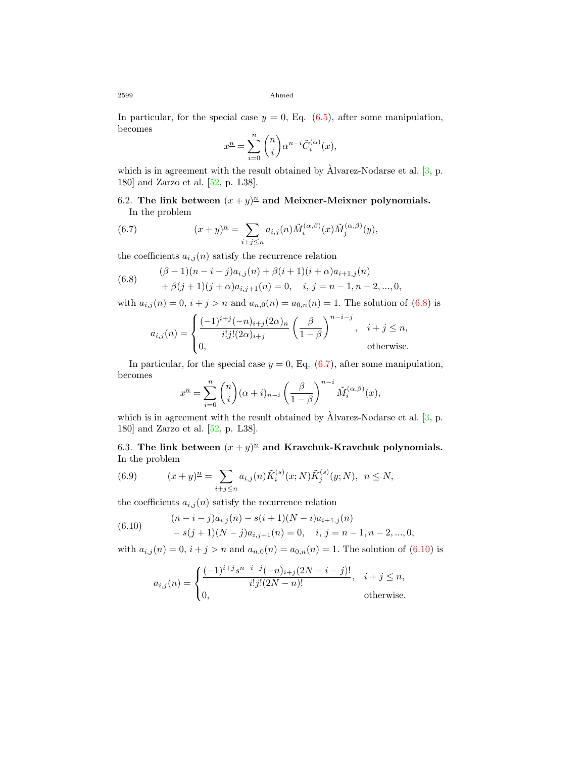Inparticular, for the special case  $y = 0$ , Eq.  $(6.5)$  $(6.5)$ , after some manipulation, becomes

$$
x^{n} = \sum_{i=0}^{n} {n \choose i} \alpha^{n-i} \tilde{C}_{i}^{(\alpha)}(x),
$$

which is in agreement with the result obtained by  $\hat{A}$ lvarez-Nodarse et al. [[3](#page-28-2), p. 180] and Zarzo et al. [\[52](#page-31-5), p. L38].

## 6.2. The link between  $(x + y)^n$  and Meixner-Meixner polynomials. In the problem

<span id="page-15-1"></span>(6.7) 
$$
(x+y)^{\underline{n}} = \sum_{i+j\leq n} a_{i,j}(n) \tilde{M}_i^{(\alpha,\beta)}(x) \tilde{M}_j^{(\alpha,\beta)}(y),
$$

the coefficients  $a_{i,j}(n)$  satisfy the recurrence relation

<span id="page-15-0"></span>(6.8) 
$$
\begin{aligned} (\beta - 1)(n - i - j)a_{i,j}(n) + \beta(i + 1)(i + \alpha)a_{i+1,j}(n) \\ + \beta(j + 1)(j + \alpha)a_{i,j+1}(n) = 0, \quad i, j = n - 1, n - 2, ..., 0, \end{aligned}
$$

with $a_{i,j}(n) = 0$ ,  $i + j > n$  and  $a_{n,0}(n) = a_{0,n}(n) = 1$ . The solution of ([6.8\)](#page-15-0) is

$$
a_{i,j}(n) = \begin{cases} \frac{(-1)^{i+j}(-n)_{i+j}(2\alpha)_n}{i!j!(2\alpha)_{i+j}} \left(\frac{\beta}{1-\beta}\right)^{n-i-j}, & i+j \leq n, \\ 0, & \text{otherwise.} \end{cases}
$$

Inparticular, for the special case  $y = 0$ , Eq.  $(6.7)$  $(6.7)$  $(6.7)$ , after some manipulation, becomes

$$
x^{n} = \sum_{i=0}^{n} {n \choose i} (\alpha + i)_{n-i} \left(\frac{\beta}{1-\beta}\right)^{n-i} \tilde{M}_{i}^{(\alpha,\beta)}(x),
$$

which is in agreement with the result obtained by  $\hat{A}$ lvarez-Nodarse et al. [[3](#page-28-2), p. 180] and Zarzo et al. [\[52](#page-31-5), p. L38].

6.3. The link between  $(x + y)^n$  and Kravchuk-Kravchuk polynomials. In the problem

<span id="page-15-3"></span>(6.9) 
$$
(x+y)^{\underline{n}} = \sum_{i+j \leq n} a_{i,j}(n) \tilde{K}_i^{(s)}(x;N) \tilde{K}_j^{(s)}(y;N), \ \ n \leq N,
$$

the coefficients  $a_{i,j}(n)$  satisfy the recurrence relation

<span id="page-15-2"></span>(6.10) 
$$
(n-i-j)a_{i,j}(n) - s(i+1)(N-i)a_{i+1,j}(n) - s(j+1)(N-j)a_{i,j+1}(n) = 0, \quad i, j = n-1, n-2, ..., 0,
$$

with $a_{i,j}(n) = 0$ ,  $i + j > n$  and  $a_{n,0}(n) = a_{0,n}(n) = 1$ . The solution of ([6.10](#page-15-2)) is

$$
a_{i,j}(n) = \begin{cases} \frac{(-1)^{i+j} s^{n-i-j}(-n)_{i+j}(2N-i-j)!}{i!j!(2N-n)!}, & i+j \le n, \\ 0, & \text{otherwise.} \end{cases}
$$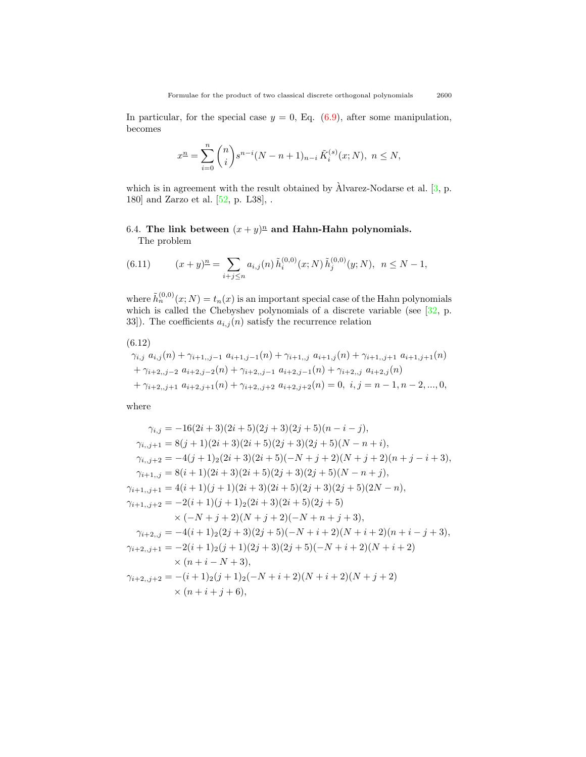Inparticular, for the special case  $y = 0$ , Eq.  $(6.9)$  $(6.9)$ , after some manipulation, becomes

$$
x^{n} = \sum_{i=0}^{n} {n \choose i} s^{n-i} (N - n + 1)_{n-i} \tilde{K}_{i}^{(s)}(x;N), \ n \le N,
$$

which is in agreement with the result obtained by  $\hat{A}$ lvarez-Nodarse et al.  $[3, p$  $[3, p$  $[3, p$ . 180] and Zarzo et al.  $[52, p. L38]$ , .

## 6.4. The link between  $(x + y)^n$  and Hahn-Hahn polynomials. The problem

<span id="page-16-1"></span>(6.11) 
$$
(x+y)^n = \sum_{i+j \le n} a_{i,j}(n) \tilde{h}_i^{(0,0)}(x;N) \tilde{h}_j^{(0,0)}(y;N), \quad n \le N-1,
$$

where  $\tilde{h}_n^{(0,0)}(x;N) = t_n(x)$  is an important special case of the Hahn polynomials whichis called the Chebyshev polynomials of a discrete variable (see  $[32, p$  $[32, p$  $[32, p$ . 33]). The coefficients  $a_{i,j}(\boldsymbol{n})$  satisfy the recurrence relation

<span id="page-16-0"></span>
$$
(6.12)
$$
  
\n
$$
\gamma_{i,j} a_{i,j}(n) + \gamma_{i+1,j-1} a_{i+1,j-1}(n) + \gamma_{i+1,j} a_{i+1,j}(n) + \gamma_{i+1,j+1} a_{i+1,j+1}(n)
$$
  
\n
$$
+ \gamma_{i+2,j-2} a_{i+2,j-2}(n) + \gamma_{i+2,j-1} a_{i+2,j-1}(n) + \gamma_{i+2,j} a_{i+2,j}(n)
$$
  
\n
$$
+ \gamma_{i+2,j+1} a_{i+2,j+1}(n) + \gamma_{i+2,j+2} a_{i+2,j+2}(n) = 0, i, j = n-1, n-2, ..., 0,
$$

where

$$
\gamma_{i,j} = -16(2i+3)(2i+5)(2j+3)(2j+5)(n-i-j),
$$
  
\n
$$
\gamma_{i,j+1} = 8(j+1)(2i+3)(2i+5)(2j+3)(2j+5)(N-n+i),
$$
  
\n
$$
\gamma_{i,j+2} = -4(j+1)_{2}(2i+3)(2i+5)(-N+j+2)(N+j+2)(n+j-i+3),
$$
  
\n
$$
\gamma_{i+1,j} = 8(i+1)(2i+3)(2i+5)(2j+3)(2j+5)(N-n+j),
$$
  
\n
$$
\gamma_{i+1,j+1} = 4(i+1)(j+1)(2i+3)(2i+5)(2j+3)(2j+5)(2N-n),
$$
  
\n
$$
\gamma_{i+1,j+2} = -2(i+1)(j+1)_{2}(2i+3)(2i+5)(2j+5)
$$
  
\n
$$
\times (-N+j+2)(N+j+2)(-N+n+j+3),
$$
  
\n
$$
\gamma_{i+2,j} = -4(i+1)_{2}(2j+3)(2j+5)(-N+i+2)(N+i+2)(n+i-j+3),
$$
  
\n
$$
\gamma_{i+2,j+1} = -2(i+1)_{2}(j+1)(2j+3)(2j+5)(-N+i+2)(N+i+2)
$$
  
\n
$$
\times (n+i-N+3),
$$
  
\n
$$
\gamma_{i+2,j+2} = -(i+1)_{2}(j+1)_{2}(-N+i+2)(N+i+2)(N+j+2)
$$
  
\n
$$
\times (n+i+j+6),
$$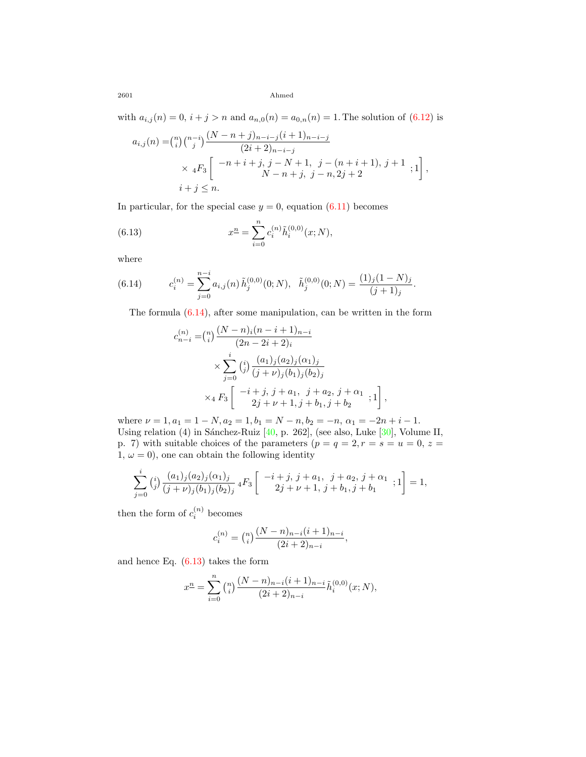with $a_{i,j}(n) = 0$ ,  $i + j > n$  and  $a_{n,0}(n) = a_{0,n}(n) = 1$ . The solution of ([6.12](#page-16-0)) is

$$
a_{i,j}(n) = {n \choose i} {n-i \choose j} \frac{(N-n+j)_{n-i-j} (i+1)_{n-i-j}}{(2i+2)_{n-i-j}}
$$
  
×  ${}_{4}F_{3}$ 
$$
\begin{bmatrix} -n+i+j, j-N+1, j-(n+i+1), j+1 \ N-n+j, j-n, 2j+2 \end{bmatrix},
$$
  
 $i+j \leq n.$ 

In particular, for the special case  $y = 0$ , equation [\(6.11](#page-16-1)) becomes

<span id="page-17-1"></span>(6.13) 
$$
x^{n} = \sum_{i=0}^{n} c_{i}^{(n)} \tilde{h}_{i}^{(0,0)}(x;N),
$$

where

<span id="page-17-0"></span>(6.14) 
$$
c_i^{(n)} = \sum_{j=0}^{n-i} a_{i,j}(n) \tilde{h}_j^{(0,0)}(0;N), \quad \tilde{h}_j^{(0,0)}(0;N) = \frac{(1)_j (1-N)_j}{(j+1)_j}.
$$

Theformula  $(6.14)$  $(6.14)$ , after some manipulation, can be written in the form

$$
c_{n-i}^{(n)} = {n \choose i} \frac{(N-n)_i(n-i+1)_{n-i}}{(2n-2i+2)_i}
$$
  
 
$$
\times \sum_{j=0}^i {i \choose j} \frac{(a_1)_j(a_2)_j(\alpha_1)_j}{(j+\nu)_j(b_1)_j(b_2)_j}
$$
  
 
$$
\times {}_4F_3 \left[ \begin{array}{c} -i+j, j+a_1, j+a_2, j+\alpha_1 \\ 2j+\nu+1, j+b_1, j+b_2 \end{array}; 1 \right],
$$

where  $\nu = 1, a_1 = 1 - N, a_2 = 1, b_1 = N - n, b_2 = -n, \alpha_1 = -2n + i - 1.$ Usingrelation (4) in Sánchez-Ruiz  $[40, p. 262]$  $[40, p. 262]$  $[40, p. 262]$ , (see also, Luke  $[30]$  $[30]$ , Volume II, p. 7) with suitable choices of the parameters  $(p = q = 2, r = s = u = 0, z =$ 1,  $\omega = 0$ , one can obtain the following identity

$$
\sum_{j=0}^{i} {i \choose j} \frac{(a_1)_j (a_2)_j (\alpha_1)_j}{(j+\nu)_j (b_1)_j (b_2)_j} {}_4F_3\left[ \begin{array}{c} -i+j, j+a_1, j+a_2, j+\alpha_1 \\ 2j+\nu+1, j+b_1, j+b_1 \end{array}; 1 \right] = 1,
$$

then the form of  $c_i^{(n)}$  becomes

$$
c_i^{(n)} = {n \choose i} \frac{(N-n)_{n-i}(i+1)_{n-i}}{(2i+2)_{n-i}},
$$

and hence Eq.  $(6.13)$  takes the form

$$
x^{n} = \sum_{i=0}^{n} {n \choose i} \frac{(N-n)_{n-i} (i+1)_{n-i}}{(2i+2)_{n-i}} \tilde{h}_{i}^{(0,0)}(x;N),
$$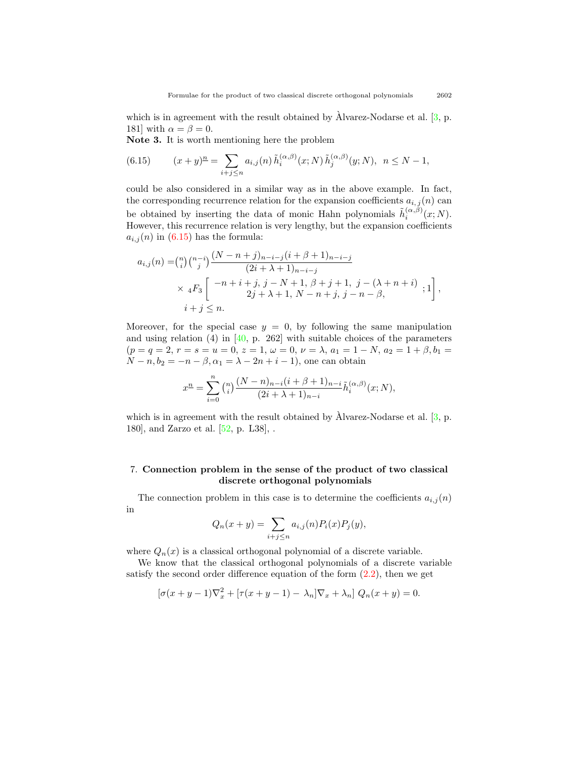which is in agreement with the result obtained by  $\hat{A}$ lvarez-Nodarse et al.  $[3, p.$  $[3, p.$  $[3, p.$ 181] with  $\alpha = \beta = 0$ .

**Note 3.** It is worth mentioning here the problem

<span id="page-18-0"></span>(6.15) 
$$
(x+y)^n = \sum_{i+j \le n} a_{i,j}(n) \tilde{h}_i^{(\alpha,\beta)}(x;N) \tilde{h}_j^{(\alpha,\beta)}(y;N), \quad n \le N-1,
$$

could be also considered in a similar way as in the above example. In fact, the corresponding recurrence relation for the expansion coefficients  $a_{i,j}(n)$  can be obtained by inserting the data of monic Hahn polynomials  $\tilde{h}_i^{(\alpha,\beta)}(x;N)$ . However, this recurrence relation is very lengthy, but the expansion coefficients  $a_{i,j}(n)$  in [\(6.15](#page-18-0)) has the formula:

$$
a_{i,j}(n) = {n \choose i} {n-i \choose j} \frac{(N-n+j)_{n-i-j} (i+\beta+1)_{n-i-j}}{(2i+\lambda+1)_{n-i-j}}
$$
  
×  ${}_{4}F_{3}$ 
$$
\begin{bmatrix} -n+i+j, j-N+1, \beta+j+1, j-(\lambda+n+i) \\ 2j+\lambda+1, N-n+j, j-n-\beta, \end{bmatrix},
$$
  
 $i+j \leq n.$ 

Moreover, for the special case  $y = 0$ , by following the same manipulation and using relation (4) in [\[40](#page-30-17), p. 262] with suitable choices of the parameters  $(p = q = 2, r = s = u = 0, z = 1, \omega = 0, \nu = \lambda, a_1 = 1 - N, a_2 = 1 + \beta, b_1 =$ *N* − *n*,  $b_2 = -n - \beta$ ,  $\alpha_1 = \lambda - 2n + i - 1$ , one can obtain

$$
x^n=\sum_{i=0}^n{n\choose i}\frac{(N-n)_{n-i}(i+\beta+1)_{n-i}}{(2i+\lambda+1)_{n-i}}\tilde{h}_i^{(\alpha,\beta)}(x;N),
$$

which is in agreement with the result obtained by  $\hat{A}$ lvarez-Nodarse et al. [[3](#page-28-2), p. 180], and Zarzo et al. [\[52](#page-31-5), p. L38], .

#### 7. **Connection problem in the sense of the product of two classical discrete orthogonal polynomials**

The connection problem in this case is to determine the coefficients  $a_{i,j}(n)$ in

$$
Q_n(x + y) = \sum_{i+j \le n} a_{i,j}(n) P_i(x) P_j(y),
$$

where  $Q_n(x)$  is a classical orthogonal polynomial of a discrete variable.

We know that the classical orthogonal polynomials of a discrete variable satisfythe second order difference equation of the form  $(2.2)$  $(2.2)$ , then we get

$$
\left[\sigma(x+y-1)\nabla_x^2 + \left[\tau(x+y-1) - \lambda_n\right]\nabla_x + \lambda_n\right]Q_n(x+y) = 0.
$$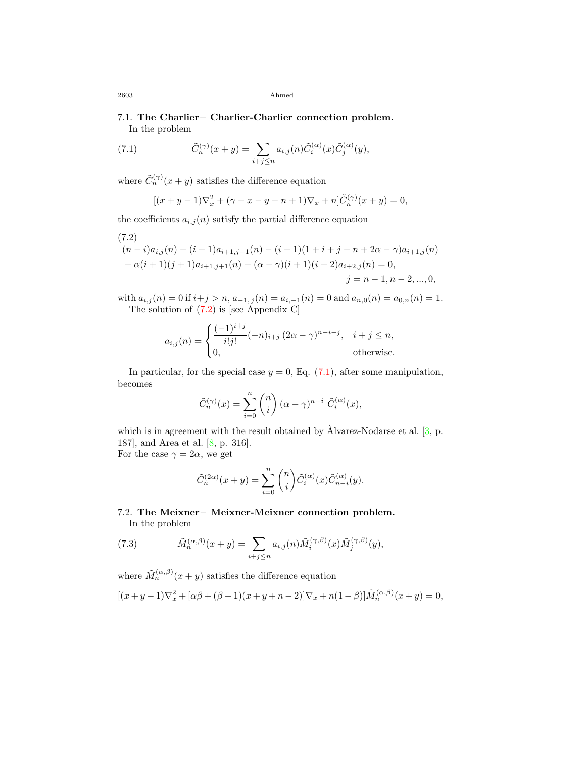## 7.1. **The Charlier***−* **Charlier-Charlier connection problem.** In the problem

(7.1) 
$$
\tilde{C}_n^{(\gamma)}(x+y) = \sum_{i+j \le n} a_{i,j}(n) \tilde{C}_i^{(\alpha)}(x) \tilde{C}_j^{(\alpha)}(y),
$$

where  $\tilde{C}_n^{(\gamma)}(x+y)$  satisfies the difference equation

<span id="page-19-1"></span>
$$
[(x+y-1)\nabla_x^2 + (\gamma - x - y - n + 1)\nabla_x + n]\tilde{C}_n^{(\gamma)}(x+y) = 0,
$$

the coefficients  $a_{i,j}(n)$  satisfy the partial difference equation

<span id="page-19-0"></span>
$$
(7.2)
$$
  
\n
$$
(n-i)a_{i,j}(n) - (i+1)a_{i+1,j-1}(n) - (i+1)(1+i+j-n+2\alpha-\gamma)a_{i+1,j}(n) -\alpha(i+1)(j+1)a_{i+1,j+1}(n) - (\alpha-\gamma)(i+1)(i+2)a_{i+2,j}(n) = 0,
$$
  
\n
$$
j = n-1, n-2, ..., 0,
$$

with  $a_{i,j}(n) = 0$  if  $i+j > n$ ,  $a_{-1,j}(n) = a_{i,-1}(n) = 0$  and  $a_{n,0}(n) = a_{0,n}(n) = 1$ . The solution of [\(7.2\)](#page-19-0) is [see Appendix C]

$$
a_{i,j}(n) = \begin{cases} \frac{(-1)^{i+j}}{i!j!}(-n)_{i+j} (2\alpha - \gamma)^{n-i-j}, & i+j \le n, \\ 0, & \text{otherwise.} \end{cases}
$$

Inparticular, for the special case  $y = 0$ , Eq.  $(7.1)$  $(7.1)$  $(7.1)$ , after some manipulation, becomes

$$
\tilde{C}_n^{(\gamma)}(x) = \sum_{i=0}^n \binom{n}{i} (\alpha - \gamma)^{n-i} \tilde{C}_i^{(\alpha)}(x),
$$

which is in agreement with the result obtained by  $\hat{A}$ lvarez-Nodarse et al. [[3](#page-28-2), p. 187], and Area et al.[[8,](#page-29-1) p. 316]. For the case  $\gamma = 2\alpha$ , we get

$$
\tilde{C}_n^{(2\alpha)}(x+y) = \sum_{i=0}^n \binom{n}{i} \tilde{C}_i^{(\alpha)}(x) \tilde{C}_{n-i}^{(\alpha)}(y).
$$

### 7.2. **The Meixner***−* **Meixner-Meixner connection problem.** In the problem

<span id="page-19-2"></span>(7.3) 
$$
\tilde{M}_n^{(\alpha,\beta)}(x+y) = \sum_{i+j\leq n} a_{i,j}(n) \tilde{M}_i^{(\gamma,\beta)}(x) \tilde{M}_j^{(\gamma,\beta)}(y),
$$

where  $\tilde{M}_n^{(\alpha,\beta)}(x+y)$  satisfies the difference equation

$$
[(x+y-1)\nabla_x^2 + [\alpha\beta + (\beta-1)(x+y+n-2)]\nabla_x + n(1-\beta)]\tilde{M}_n^{(\alpha,\beta)}(x+y) = 0,
$$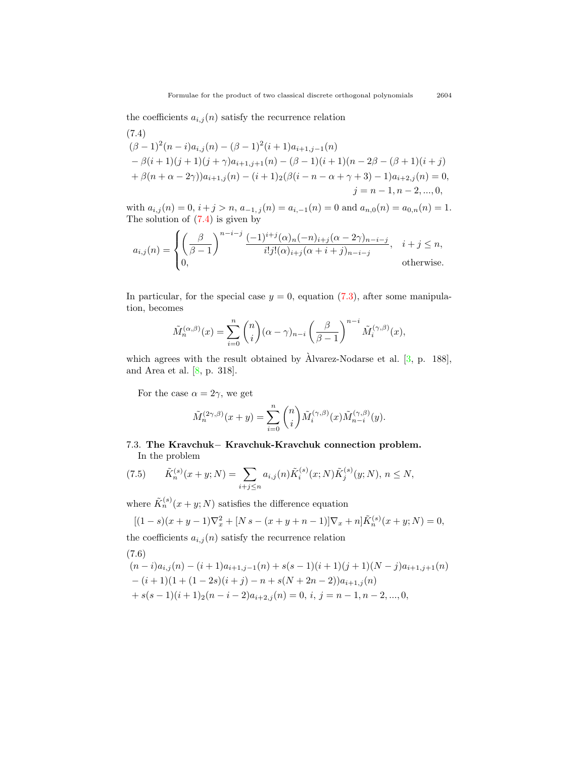the coefficients  $a_{i,j}(n)$  satisfy the recurrence relation

<span id="page-20-0"></span>
$$
(7.4)
$$
  
\n
$$
(\beta - 1)^2(n - i)a_{i,j}(n) - (\beta - 1)^2(i + 1)a_{i+1,j-1}(n)
$$
  
\n
$$
-\beta(i + 1)(j + 1)(j + \gamma)a_{i+1,j+1}(n) - (\beta - 1)(i + 1)(n - 2\beta - (\beta + 1)(i + j))
$$
  
\n
$$
+\beta(n + \alpha - 2\gamma))a_{i+1,j}(n) - (i + 1)_2(\beta(i - n - \alpha + \gamma + 3) - 1)a_{i+2,j}(n) = 0,
$$
  
\n
$$
j = n - 1, n - 2, ..., 0,
$$

with  $a_{i,j}(n) = 0, i + j > n, a_{-1,j}(n) = a_{i,-1}(n) = 0$  and  $a_{n,0}(n) = a_{0,n}(n) = 1$ . The solution of [\(7.4\)](#page-20-0) is given by

$$
a_{i,j}(n) = \begin{cases} \left(\frac{\beta}{\beta-1}\right)^{n-i-j} \frac{(-1)^{i+j}(\alpha)_n (-n)_{i+j}(\alpha-2\gamma)_{n-i-j}}{i!j!(\alpha)_{i+j}(\alpha+i+j)_{n-i-j}}, & i+j \leq n, \\ 0, & \text{otherwise.} \end{cases}
$$

In particular, for the special case  $y = 0$ , equation [\(7.3](#page-19-2)), after some manipulation, becomes

$$
\tilde{M}_n^{(\alpha,\beta)}(x) = \sum_{i=0}^n \binom{n}{i} (\alpha - \gamma)_{n-i} \left(\frac{\beta}{\beta - 1}\right)^{n-i} \tilde{M}_i^{(\gamma,\beta)}(x),
$$

which agrees with the result obtained by  $\lambda$ lvarez-Nodarse et al.  $[3, p. 188]$  $[3, p. 188]$  $[3, p. 188]$ , and Area et al.[[8,](#page-29-1) p. 318].

For the case  $\alpha = 2\gamma$ , we get

$$
\tilde{M}_n^{(2\gamma,\beta)}(x+y) = \sum_{i=0}^n \binom{n}{i} \tilde{M}_i^{(\gamma,\beta)}(x) \tilde{M}_{n-i}^{(\gamma,\beta)}(y).
$$

## 7.3. **The Kravchuk***−* **Kravchuk-Kravchuk connection problem.** In the problem

<span id="page-20-2"></span>(7.5) 
$$
\tilde{K}_n^{(s)}(x+y;N) = \sum_{i+j \le n} a_{i,j}(n) \tilde{K}_i^{(s)}(x;N) \tilde{K}_j^{(s)}(y;N), n \le N,
$$

where  $\tilde{K}_n^{(s)}(x+y;N)$  satisfies the difference equation

$$
[(1-s)(x+y-1)\nabla_x^2 + [N s - (x+y+n-1)]\nabla_x + n]\tilde{K}_n^{(s)}(x+y;N) = 0,
$$

the coefficients  $a_{i,j}(n)$  satisfy the recurrence relation

(7.6)

<span id="page-20-1"></span>
$$
\begin{aligned} &(n-i)a_{i,j}(n)-(i+1)a_{i+1,j-1}(n)+s(s-1)(i+1)(j+1)(N-j)a_{i+1,j+1}(n)\\ &-(i+1)(1+(1-2s)(i+j)-n+s(N+2n-2))a_{i+1,j}(n)\\ &+s(s-1)(i+1)_2(n-i-2)a_{i+2,j}(n)=0,\,i,\,j=n-1,n-2,...,0,\end{aligned}
$$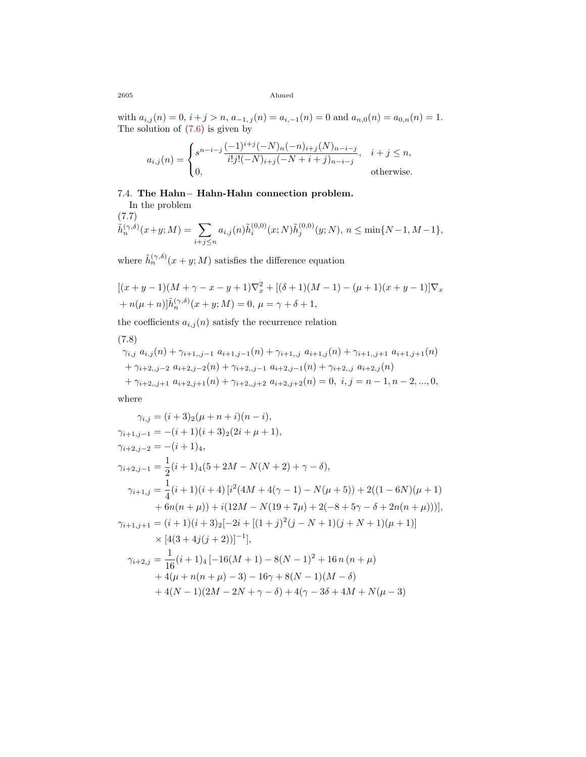with  $a_{i,j}(n) = 0$ ,  $i + j > n$ ,  $a_{-1,j}(n) = a_{i,-1}(n) = 0$  and  $a_{n,0}(n) = a_{0,n}(n) = 1$ . The solution of  $(7.6)$  is given by

$$
a_{i,j}(n) = \begin{cases} s^{n-i-j} \frac{(-1)^{i+j}(-N)_n(-n)_{i+j}(N)_{n-i-j}}{i!j!(-N)_{i+j}(-N+i+j)_{n-i-j}}, & i+j \le n, \\ 0, & \text{otherwise.} \end{cases}
$$

### 7.4. **The Hahn***−* **Hahn-Hahn connection problem.**

<span id="page-21-1"></span>In the problem (7.7)  $\tilde{h}_n^{(\gamma,\delta)}(x+y;M) = \sum$ *i*+*j≤n*  $a_{i,j}(n)\tilde{h}_i^{(0,0)}(x;N)\tilde{h}_j^{(0,0)}(y;N), n \leq \min\{N-1, M-1\},$ 

where  $\tilde{h}_n^{(\gamma,\delta)}(x+y;M)$  satisfies the difference equation

$$
[(x+y-1)(M+\gamma-x-y+1)\nabla_x^2 + [(\delta+1)(M-1) - (\mu+1)(x+y-1)]\nabla_x + n(\mu+n)]\tilde{h}_n^{(\gamma,\delta)}(x+y;M) = 0, \ \mu = \gamma + \delta + 1,
$$

the coefficients  $a_{i,j}(n)$  satisfy the recurrence relation

$$
(7.8)
$$

<span id="page-21-0"></span>
$$
\gamma_{i,j} a_{i,j}(n) + \gamma_{i+1,j-1} a_{i+1,j-1}(n) + \gamma_{i+1,j} a_{i+1,j}(n) + \gamma_{i+1,j+1} a_{i+1,j+1}(n) \n+ \gamma_{i+2,j-2} a_{i+2,j-2}(n) + \gamma_{i+2,j-1} a_{i+2,j-1}(n) + \gamma_{i+2,j} a_{i+2,j}(n) \n+ \gamma_{i+2,j+1} a_{i+2,j+1}(n) + \gamma_{i+2,j+2} a_{i+2,j+2}(n) = 0, i, j = n-1, n-2, ..., 0,
$$

where

$$
\gamma_{i,j} = (i+3)_{2}(\mu + n + i)(n - i),
$$
  
\n
$$
\gamma_{i+1,j-1} = -(i+1)(i+3)_{2}(2i + \mu + 1),
$$
  
\n
$$
\gamma_{i+2,j-2} = -(i+1)_{4},
$$
  
\n
$$
\gamma_{i+2,j-1} = \frac{1}{2}(i+1)_{4}(5+2M-N(N+2)+\gamma-\delta),
$$
  
\n
$$
\gamma_{i+1,j} = \frac{1}{4}(i+1)(i+4)[i^{2}(4M+4(\gamma-1)-N(\mu+5))+2((1-6N)(\mu+1)+6n(n + \mu)) + i(12M-N(19+7\mu)+2(-8+5\gamma-\delta+2n(n + \mu)))]
$$
  
\n
$$
\gamma_{i+1,j+1} = (i+1)(i+3)_{2}[-2i+[(1+j)^{2}(j-N+1)(j+N+1)(\mu+1)] \times [4(3+4j(j+2))]^{-1}],
$$
  
\n
$$
\gamma_{i+2,j} = \frac{1}{16}(i+1)_{4}[-16(M+1)-8(N-1)^{2}+16n(n + \mu)+4(\mu+n(n + \mu)-3)-16\gamma+8(N-1)(M-\delta)+4(N-1)(2M-2N+\gamma-\delta)+4(\gamma-3\delta+4M+N(\mu-3))]
$$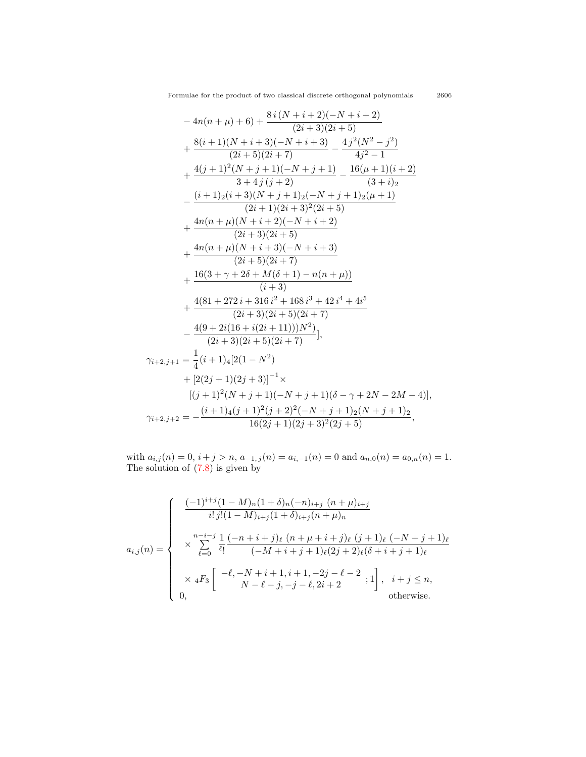$$
-4n(n + \mu) + 6) + \frac{8i(N + i + 2)(-N + i + 2)}{(2i + 3)(2i + 5)}
$$
  
+ 
$$
\frac{8(i + 1)(N + i + 3)(-N + i + 3)}{(2i + 5)(2i + 7)} - \frac{4j^2(N^2 - j^2)}{4j^2 - 1}
$$
  
+ 
$$
\frac{4(j + 1)^2(N + j + 1)(-N + j + 1)}{3 + 4j(j + 2)} - \frac{16(\mu + 1)(i + 2)}{(3 + i)_2}
$$
  
- 
$$
\frac{(i + 1)2(i + 3)(N + j + 1)2(-N + j + 1)2(\mu + 1)}{(2i + 1)(2i + 3)^2(2i + 5)}
$$
  
+ 
$$
\frac{4n(n + \mu)(N + i + 2)(-N + i + 2)}{(2i + 3)(2i + 5)}
$$
  
+ 
$$
\frac{4n(n + \mu)(N + i + 3)(-N + i + 3)}{(2i + 5)(2i + 7)}
$$
  
+ 
$$
\frac{16(3 + \gamma + 2\delta + M(\delta + 1) - n(n + \mu))}{(i + 3)}
$$
  
+ 
$$
\frac{4(81 + 272i + 316i^2 + 168i^3 + 42i^4 + 4i^5)}{(2i + 3)(2i + 5)(2i + 7)}
$$
  
- 
$$
\frac{4(9 + 2i(16 + i(2i + 11)))N^2)}{(2i + 3)(2i + 5)(2i + 7)}
$$
  
+ 
$$
[2(2j + 1)(2j + 3)]^{-1} \times
$$
  

$$
[(j + 1)^2(N + j + 1)(-N + j + 1)(\delta - \gamma + 2N - 2M - 4)],
$$
  

$$
\gamma_{i+2,j+2} = -\frac{(i + 1)4(j + 1)^2(j + 2)^2(-N + j + 1)2(N + j + 1)2}{16(2j + 1)(2j + 3)^2(2j + 5)}
$$

with  $a_{i,j}(n) = 0$ ,  $i + j > n$ ,  $a_{-1,j}(n) = a_{i,-1}(n) = 0$  and  $a_{n,0}(n) = a_{0,n}(n) = 1$ . The solution of [\(7.8\)](#page-21-0) is given by

$$
a_{i,j}(n) = \begin{cases} \frac{(-1)^{i+j}(1-M)_n(1+\delta)_n(-n)_{i+j}(n+\mu)_{i+j}}{i!j!(1-M)_{i+j}(1+\delta)_{i+j}(n+\mu)_n} \\ \times \sum_{\ell=0}^{n-i-j} \frac{1}{\ell!} \frac{(-n+i+j)_\ell (n+\mu+i+j)_\ell (j+1)_\ell (-N+j+1)_\ell}{(-M+i+j+1)_\ell (2j+2)_\ell (\delta+i+j+1)_\ell} \\ \times {}_4F_3 \left[ \begin{array}{c} -\ell, -N+i+1, i+1, -2j-\ell-2 \\ N-\ell-j, -j-\ell, 2i+2 \end{array}; 1 \right], \quad i+j \le n, \\ 0, \qquad \text{otherwise.} \end{cases}
$$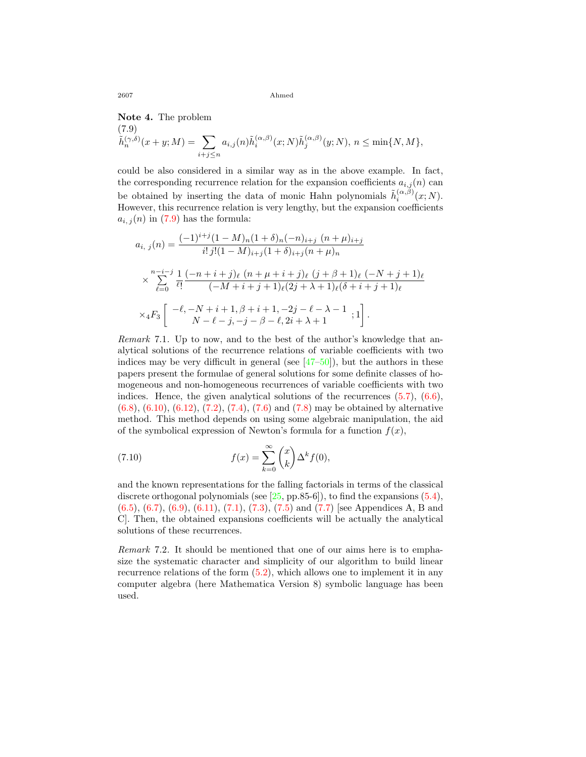<span id="page-23-0"></span>**Note 4.** The problem (7.9)  $\tilde{h}_n^{(\gamma,\delta)}(x+y;M) = \sum$ *i*+*j≤n*  $a_{i,j}(n) \tilde{h}_i^{(\alpha,\beta)}(x;N) \tilde{h}_j^{(\alpha,\beta)}(y;N), n \leq \min\{N,M\},$ 

could be also considered in a similar way as in the above example. In fact, the corresponding recurrence relation for the expansion coefficients  $a_{i,j}(n)$  can be obtained by inserting the data of monic Hahn polynomials  $\tilde{h}_i^{(\alpha,\beta)}(x;N)$ . However, this recurrence relation is very lengthy, but the expansion coefficients  $a_{i,j}(n)$ in ([7.9](#page-23-0)) has the formula:

$$
a_{i, j}(n) = \frac{(-1)^{i+j}(1 - M)_n(1 + \delta)_n(-n)_{i+j} (n + \mu)_{i+j}}{i! j! (1 - M)_{i+j}(1 + \delta)_{i+j}(n + \mu)_n}
$$
  

$$
\times \sum_{\ell=0}^{n-i-j} \frac{1}{\ell!} \frac{(-n+i+j)_{\ell} (n + \mu+i+j)_{\ell} (j + \beta + 1)_{\ell} (-N+j+1)_{\ell}}{(-M+i+j+1)_{\ell} (2j + \lambda + 1)_{\ell} (\delta + i + j + 1)_{\ell}}
$$
  

$$
\times {}_4F_3 \left[ -\ell, -N+i+1, \beta+i+1, -2j - \ell - \lambda - 1; 1 \right].
$$

*Remark* 7.1*.* Up to now, and to the best of the author's knowledge that analytical solutions of the recurrence relations of variable coefficients with two indices may be very difficult in general (see  $[47-50]$ ), but the authors in these papers present the formulae of general solutions for some definite classes of homogeneous and non-homogeneous recurrences of variable coefficients with two indices.Hence, the given analytical solutions of the recurrences  $(5.7)$  $(5.7)$ ,  $(6.6)$  $(6.6)$ , ([6.8\)](#page-15-0),([6.10\)](#page-15-2), [\(6.12\)](#page-16-0), [\(7.2\)](#page-19-0), [\(7.4](#page-20-0)), [\(7.6](#page-20-1)) and([7.8](#page-21-0)) may be obtained by alternative method. This method depends on using some algebraic manipulation, the aid of the symbolical expression of Newton's formula for a function  $f(x)$ ,

<span id="page-23-1"></span>(7.10) 
$$
f(x) = \sum_{k=0}^{\infty} {x \choose k} \Delta^k f(0),
$$

and the known representations for the falling factorials in terms of the classical discreteorthogonal polynomials (see  $[25, pp.85-6]$ ), to find the expansions  $(5.4)$  $(5.4)$ , ([6.5\)](#page-14-4), [\(6.7\)](#page-15-1),([6.9](#page-15-3)),([6.11\)](#page-16-1), [\(7.1](#page-19-1)),([7.3](#page-19-2)),([7.5\)](#page-20-2) and([7.7](#page-21-1)) [see Appendices A, B and C]. Then, the obtained expansions coefficients will be actually the analytical solutions of these recurrences.

*Remark* 7.2*.* It should be mentioned that one of our aims here is to emphasize the systematic character and simplicity of our algorithm to build linear recurrence relations of the form([5.2\)](#page-12-2), which allows one to implement it in any computer algebra (here Mathematica Version 8) symbolic language has been used.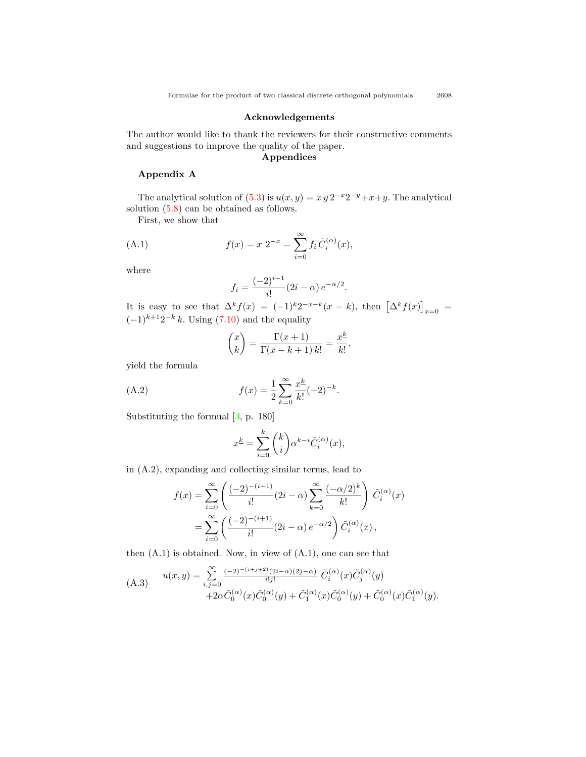#### **Acknowledgements**

The author would like to thank the reviewers for their constructive comments and suggestions to improve the quality of the paper.

## **Appendices**

#### **Appendix A**

The analytical solution of  $(5.3)$  is  $u(x, y) = x y 2^{-x} 2^{-y} + x + y$ . The analytical solution([5.8](#page-13-5)) can be obtained as follows.

First, we show that

(A.1) 
$$
f(x) = x \; 2^{-x} = \sum_{i=0}^{\infty} f_i \, \tilde{C}_i^{(\alpha)}(x),
$$

where

$$
f_i = \frac{(-2)^{i-1}}{i!} (2i - \alpha) e^{-\alpha/2}.
$$

It is easy to see that  $\Delta^k f(x) = (-1)^k 2^{-x-k}(x-k)$ , then  $[\Delta^k f(x)]_{x=0}$  $(-1)^{k+1}2^{-k} k$  $(-1)^{k+1}2^{-k} k$  $(-1)^{k+1}2^{-k} k$ . Using ([7.10\)](#page-23-1) and the equality

$$
\binom{x}{k} = \frac{\Gamma(x+1)}{\Gamma(x-k+1) k!} = \frac{x^{\underline{k}}}{k!},
$$

yield the formula

(A.2) 
$$
f(x) = \frac{1}{2} \sum_{k=0}^{\infty} \frac{x^k}{k!} (-2)^{-k}.
$$

Substituting the formual[[3,](#page-28-2) p. 180]

$$
x^{\underline{k}} = \sum_{i=0}^{k} {k \choose i} \alpha^{k-i} \tilde{C}_i^{(\alpha)}(x),
$$

in (A.2), expanding and collecting similar terms, lead to

$$
f(x) = \sum_{i=0}^{\infty} \left( \frac{(-2)^{-(i+1)}}{i!} (2i - \alpha) \sum_{k=0}^{\infty} \frac{(-\alpha/2)^k}{k!} \right) \tilde{C}_i^{(\alpha)}(x)
$$
  
= 
$$
\sum_{i=0}^{\infty} \left( \frac{(-2)^{-(i+1)}}{i!} (2i - \alpha) e^{-\alpha/2} \right) \tilde{C}_i^{(\alpha)}(x),
$$

then (A.1) is obtained. Now, in view of (A.1), one can see that

(A.3) 
$$
u(x,y) = \sum_{i,j=0}^{\infty} \frac{(-2)^{-(i+j+2)} (2i-\alpha)(2j-\alpha)}{i!j!} \tilde{C}_i^{(\alpha)}(x) \tilde{C}_j^{(\alpha)}(y) + 2\alpha \tilde{C}_0^{(\alpha)}(x) \tilde{C}_0^{(\alpha)}(y) + \tilde{C}_1^{(\alpha)}(x) \tilde{C}_0^{(\alpha)}(y) + \tilde{C}_0^{(\alpha)}(x) \tilde{C}_1^{(\alpha)}(y).
$$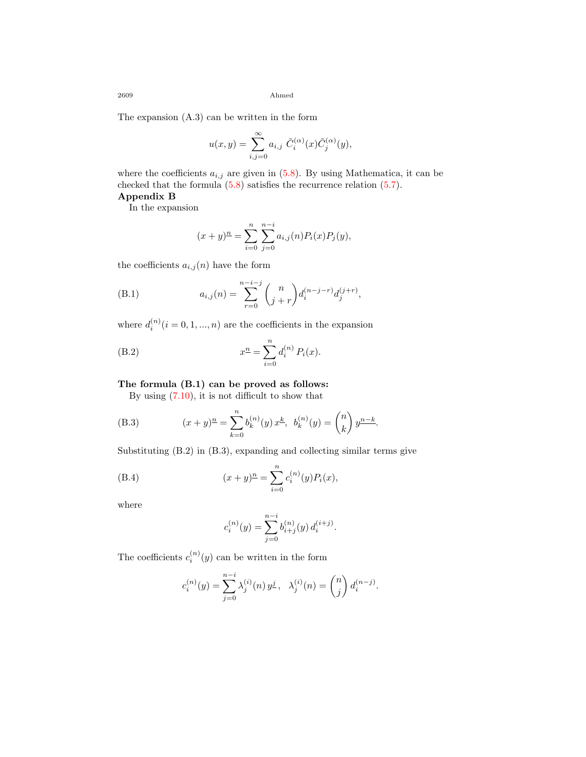The expansion (A.3) can be written in the form

$$
u(x,y) = \sum_{i,j=0}^{\infty} a_{i,j} \ \tilde{C}_i^{(\alpha)}(x) \tilde{C}_j^{(\alpha)}(y),
$$

wherethe coefficients  $a_{i,j}$  are given in  $(5.8)$  $(5.8)$  $(5.8)$ . By using Mathematica, it can be checked that the formula([5.8](#page-13-5)) satisfies the recurrence relation [\(5.7\)](#page-13-3).

### **Appendix B**

In the expansion

$$
(x+y)^{\underline{n}} = \sum_{i=0}^{n} \sum_{j=0}^{n-i} a_{i,j}(n) P_i(x) P_j(y),
$$

the coefficients  $a_{i,j}(n)$  have the form

(B.1) 
$$
a_{i,j}(n) = \sum_{r=0}^{n-i-j} {n \choose j+r} d_i^{(n-j-r)} d_j^{(j+r)},
$$

where  $d_i^{(n)}$   $(i = 0, 1, ..., n)$  are the coefficients in the expansion

(B.2) 
$$
x^{n} = \sum_{i=0}^{n} d_{i}^{(n)} P_{i}(x).
$$

### **The formula (B.1) can be proved as follows:**

Byusing  $(7.10)$  $(7.10)$  $(7.10)$ , it is not difficult to show that

(B.3) 
$$
(x+y)^n = \sum_{k=0}^n b_k^{(n)}(y) x^k, b_k^{(n)}(y) = \binom{n}{k} y^{n-k}.
$$

Substituting (B.2) in (B.3), expanding and collecting similar terms give

(B.4) 
$$
(x+y)^n = \sum_{i=0}^n c_i^{(n)}(y) P_i(x),
$$

where

$$
c_i^{(n)}(y) = \sum_{j=0}^{n-i} b_{i+j}^{(n)}(y) d_i^{(i+j)}.
$$

The coefficients  $c_i^{(n)}(y)$  can be written in the form

$$
c_i^{(n)}(y) = \sum_{j=0}^{n-i} \lambda_j^{(i)}(n) y^j, \quad \lambda_j^{(i)}(n) = \binom{n}{j} d_i^{(n-j)}.
$$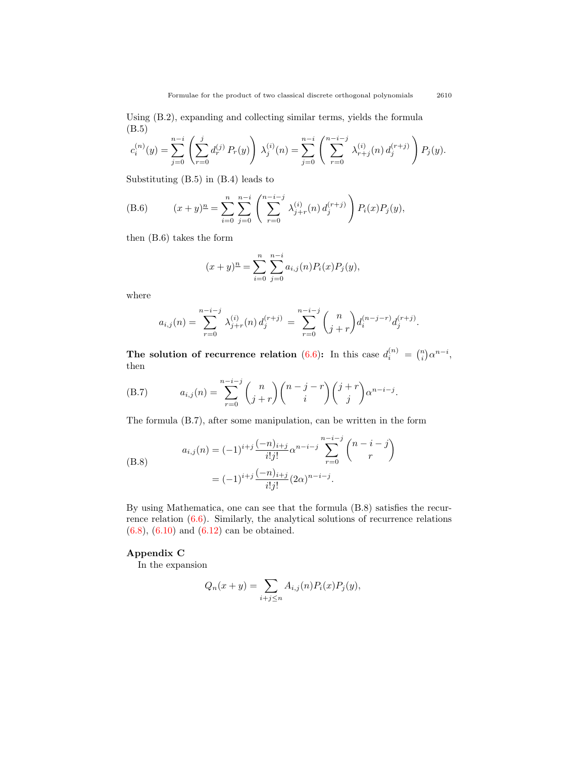Using (B.2), expanding and collecting similar terms, yields the formula (B.5)

$$
c_i^{(n)}(y) = \sum_{j=0}^{n-i} \left( \sum_{r=0}^j d_r^{(j)} P_r(y) \right) \lambda_j^{(i)}(n) = \sum_{j=0}^{n-i} \left( \sum_{r=0}^{n-i-j} \lambda_{r+j}^{(i)}(n) d_j^{(r+j)} \right) P_j(y).
$$

Substituting (B.5) in (B.4) leads to

(B.6) 
$$
(x+y)^{\underline{n}} = \sum_{i=0}^{n} \sum_{j=0}^{n-i} \left( \sum_{r=0}^{n-i-j} \lambda_{j+r}^{(i)}(n) d_j^{(r+j)} \right) P_i(x) P_j(y),
$$

then (B.6) takes the form

$$
(x+y)^{\underline{n}} = \sum_{i=0}^{n} \sum_{j=0}^{n-i} a_{i,j}(n) P_i(x) P_j(y),
$$

where

$$
a_{i,j}(n) = \sum_{r=0}^{n-i-j} \lambda_{j+r}^{(i)}(n) d_j^{(r+j)} = \sum_{r=0}^{n-i-j} {n \choose j+r} d_i^{(n-j-r)} d_j^{(r+j)}.
$$

**The solution of recurrence relation** ([6.6\)](#page-14-3): In this case  $d_i^{(n)} = \binom{n}{i} \alpha^{n-i}$ , then

(B.7) 
$$
a_{i,j}(n) = \sum_{r=0}^{n-i-j} {n \choose j+r} {n-j-r \choose i} {j+r \choose j} \alpha^{n-i-j}.
$$

The formula (B.7), after some manipulation, can be written in the form

(B.8)  

$$
a_{i,j}(n) = (-1)^{i+j} \frac{(-n)_{i+j}}{i!j!} \alpha^{n-i-j} \sum_{r=0}^{n-i-j} {n-i-j \choose r}
$$

$$
= (-1)^{i+j} \frac{(-n)_{i+j}}{i!j!} (2\alpha)^{n-i-j}.
$$

By using Mathematica, one can see that the formula (B.8) satisfies the recurrence relation [\(6.6](#page-14-3)). Similarly, the analytical solutions of recurrence relations ([6.8\)](#page-15-0),([6.10](#page-15-2)) and([6.12](#page-16-0)) can be obtained.

#### **Appendix C**

In the expansion

$$
Q_n(x + y) = \sum_{i+j \le n} A_{i,j}(n) P_i(x) P_j(y),
$$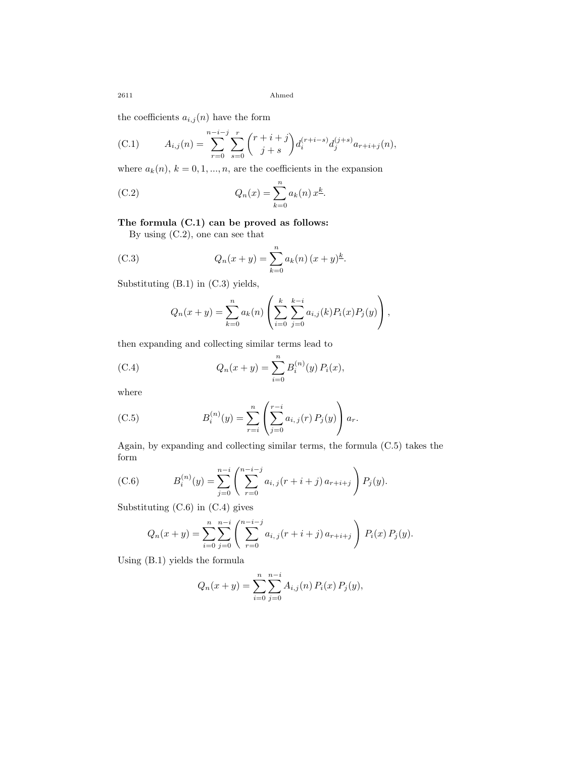the coefficients  $a_{i,j}(n)$  have the form

(C.1) 
$$
A_{i,j}(n) = \sum_{r=0}^{n-i-j} \sum_{s=0}^{r} {r+i+j \choose j+s} d_i^{(r+i-s)} d_j^{(j+s)} a_{r+i+j}(n),
$$

where  $a_k(n)$ ,  $k = 0, 1, ..., n$ , are the coefficients in the expansion

(C.2) 
$$
Q_n(x) = \sum_{k=0}^n a_k(n) x^k.
$$

### **The formula (C.1) can be proved as follows:**

By using (C.2), one can see that

(C.3) 
$$
Q_n(x+y) = \sum_{k=0}^n a_k(n) (x+y)^k.
$$

Substituting (B.1) in (C.3) yields,

$$
Q_n(x + y) = \sum_{k=0}^n a_k(n) \left( \sum_{i=0}^k \sum_{j=0}^{k-i} a_{i,j}(k) P_i(x) P_j(y) \right),
$$

then expanding and collecting similar terms lead to

(C.4) 
$$
Q_n(x+y) = \sum_{i=0}^n B_i^{(n)}(y) P_i(x),
$$

where

(C.5) 
$$
B_i^{(n)}(y) = \sum_{r=i}^n \left( \sum_{j=0}^{r-i} a_{i,j}(r) P_j(y) \right) a_r.
$$

Again, by expanding and collecting similar terms, the formula (C.5) takes the form

(C.6) 
$$
B_i^{(n)}(y) = \sum_{j=0}^{n-i} \left( \sum_{r=0}^{n-i-j} a_{i,j}(r+i+j) a_{r+i+j} \right) P_j(y).
$$

Substituting (C.6) in (C.4) gives

$$
Q_n(x+y) = \sum_{i=0}^n \sum_{j=0}^{n-i} \left( \sum_{r=0}^{n-i-j} a_{i,j}(r+i+j) a_{r+i+j} \right) P_i(x) P_j(y).
$$

Using (B.1) yields the formula

$$
Q_n(x + y) = \sum_{i=0}^n \sum_{j=0}^{n-i} A_{i,j}(n) P_i(x) P_j(y),
$$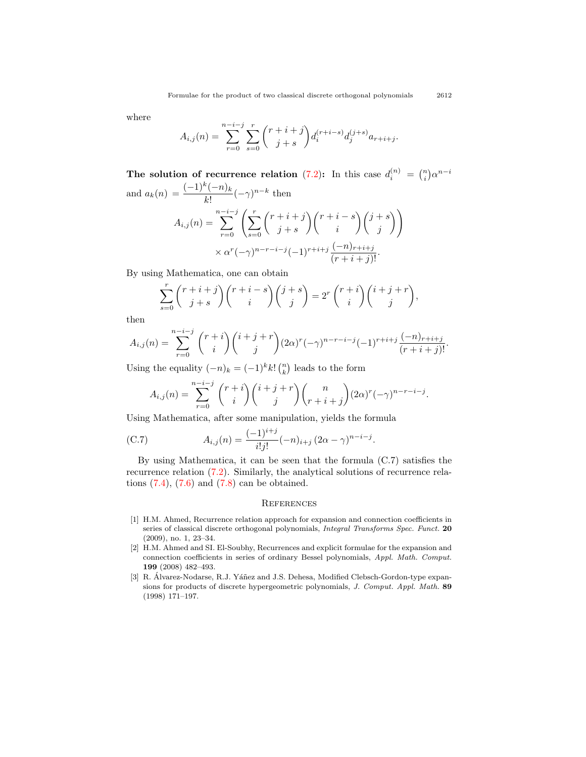where

$$
A_{i,j}(n) = \sum_{r=0}^{n-i-j} \sum_{s=0}^{r} {r+i+j \choose j+s} d_i^{(r+i-s)} d_j^{(j+s)} a_{r+i+j}.
$$

**The solution of recurrence relation** ([7.2\)](#page-19-0): In this case  $d_i^{(n)} = \binom{n}{i} \alpha^{n-i}$ and  $a_k(n) = \frac{(-1)^k (-n)_k}{k!}$  $\frac{(n-k)k}{k!}(-\gamma)^{n-k}$  then

$$
A_{i,j}(n) = \sum_{r=0}^{n-i-j} \left( \sum_{s=0}^r \binom{r+i+j}{j+s} \binom{r+i-s}{i} \binom{j+s}{j} \right)
$$

$$
\times \alpha^r (-\gamma)^{n-r-i-j} (-1)^{r+i+j} \frac{(-n)_{r+i+j}}{(r+i+j)!}.
$$

By using Mathematica, one can obtain

$$
\sum_{s=0}^r \binom{r+i+j}{j+s} \binom{r+i-s}{i} \binom{j+s}{j} = 2^r \binom{r+i}{i} \binom{i+j+r}{j},
$$

then

$$
A_{i,j}(n) = \sum_{r=0}^{n-i-j} \binom{r+i}{i} \binom{i+j+r}{j} (2\alpha)^r (-\gamma)^{n-r-i-j} (-1)^{r+i+j} \frac{(-n)_{r+i+j}}{(r+i+j)!}.
$$

Using the equality  $(-n)_k = (-1)^k k! \binom{n}{k}$  leads to the form

$$
A_{i,j}(n) = \sum_{r=0}^{n-i-j} {r+i \choose i} {i+j+r \choose j} {n \choose r+i+j} (2\alpha)^r (-\gamma)^{n-r-i-j}.
$$

Using Mathematica, after some manipulation, yields the formula

(C.7) 
$$
A_{i,j}(n) = \frac{(-1)^{i+j}}{i!j!}(-n)_{i+j} (2\alpha - \gamma)^{n-i-j}.
$$

By using Mathematica, it can be seen that the formula (C.7) satisfies the recurrence relation([7.2](#page-19-0)). Similarly, the analytical solutions of recurrence rela-tions $(7.4)$ ,  $(7.6)$  $(7.6)$  and  $(7.8)$  can be obtained.

#### **REFERENCES**

- <span id="page-28-0"></span>[1] H.M. Ahmed, Recurrence relation approach for expansion and connection coefficients in series of classical discrete orthogonal polynomials, *Integral Transforms Spec. Funct.* **20** (2009), no. 1, 23–34.
- <span id="page-28-1"></span>[2] H.M. Ahmed and SI. El-Soubhy, Recurrences and explicit formulae for the expansion and connection coefficients in series of ordinary Bessel polynomials, *Appl. Math. Comput.* **199** (2008) 482–493.
- <span id="page-28-2"></span>[3] R. Álvarez-Nodarse, R.J. Yáñez and J.S. Dehesa, Modified Clebsch-Gordon-type expansions for products of discrete hypergeometric polynomials, *J. Comput. Appl. Math.* **89** (1998) 171–197.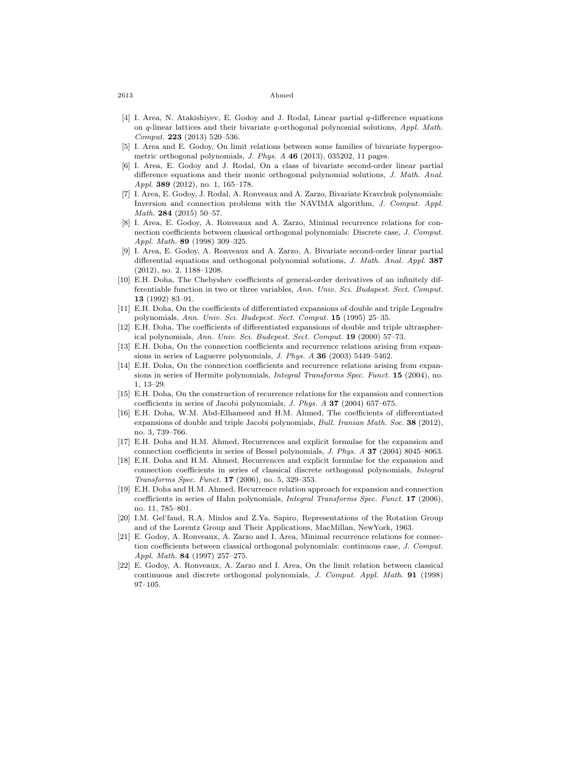- <span id="page-29-11"></span>[4] I. Area, N. Atakishiyev, E. Godoy and J. Rodal, Linear partial *q*-difference equations on *q*-linear lattices and their bivariate *q*-orthogonal polynomial solutions, *Appl. Math. Comput.* **223** (2013) 520–536.
- [5] I. Area and E. Godoy, On limit relations between some families of bivariate hypergeometric orthogonal polynomials, *J. Phys. A* **46** (2013), 035202, 11 pages.
- [6] I. Area, E. Godoy and J. Rodal, On a class of bivariate second-order linear partial difference equations and their monic orthogonal polynomial solutions, *J. Math. Anal. Appl.* **389** (2012), no. 1, 165–178.
- <span id="page-29-12"></span>[7] I. Area, E. Godoy, J. Rodal, A. Ronveaux and A. Zarzo, Bivariate Kravchuk polynomials: Inversion and connection problems with the NAVIMA algorithm, *J. Comput. Appl. Math.* **284** (2015) 50–57.
- <span id="page-29-1"></span>[8] I. Area, E. Godoy, A. Ronveaux and A. Zarzo, Minimal recurrence relations for connection coefficients between classical orthogonal polynomials: Discrete case, *J. Comput. Appl. Math.* **89** (1998) 309–325.
- <span id="page-29-13"></span>[9] I. Area, E. Godoy, A. Ronveaux and A. Zarzo, A. Bivariate second-order linear partial differential equations and orthogonal polynomial solutions, *J. Math. Anal. Appl.* **387** (2012), no. 2, 1188–1208.
- <span id="page-29-7"></span>[10] E.H. Doha, The Chebyshev coefficients of general-order derivatives of an infinitely differentiable function in two or three variables, *Ann. Univ. Sci. Budapest. Sect. Comput.* **13** (1992) 83–91.
- [11] E.H. Doha, On the coefficients of differentiated expansions of double and triple Legendre polynomials, *Ann. Univ. Sci. Budepest. Sect. Comput.* **15** (1995) 25–35.
- <span id="page-29-8"></span>[12] E.H. Doha, The coefficients of differentiated expansions of double and triple ultraspherical polynomials, *Ann. Univ. Sci. Budepest. Sect. Comput.* **19** (2000) 57–73.
- <span id="page-29-2"></span>[13] E.H. Doha, On the connection coefficients and recurrence relations arising from expansions in series of Laguerre polynomials, *J. Phys. A* **36** (2003) 5449–5462.
- [14] E.H. Doha, On the connection coefficients and recurrence relations arising from expansions in series of Hermite polynomials, *Integral Transforms Spec. Funct.* **15** (2004), no. 1, 13–29.
- <span id="page-29-3"></span>[15] E.H. Doha, On the construction of recurrence relations for the expansion and connection coefficients in series of Jacobi polynomials, *J. Phys. A* **37** (2004) 657–675.
- <span id="page-29-9"></span>[16] E.H. Doha, W.M. Abd-Elhameed and H.M. Ahmed, The coefficients of differentiated expansions of double and triple Jacobi polynomials, *Bull. Iranian Math. Soc.* **38** (2012), no. 3, 739–766.
- <span id="page-29-4"></span>[17] E.H. Doha and H.M. Ahmed, Recurrences and explicit formulae for the expansion and connection coefficients in series of Bessel polynomials, *J. Phys. A* **37** (2004) 8045–8063.
- <span id="page-29-10"></span>[18] E.H. Doha and H.M. Ahmed, Recurrences and explicit formulae for the expansion and connection coefficients in series of classical discrete orthogonal polynomials, *Integral Transforms Spec. Funct.* **17** (2006), no. 5, 329–353.
- <span id="page-29-5"></span>[19] E.H. Doha and H.M. Ahmed, Recurrence relation approach for expansion and connection coefficients in series of Hahn polynomials, *Integral Transforms Spec. Funct.* **17** (2006), no. 11, 785–801.
- <span id="page-29-0"></span>[20] I.M. Gel'fand, R.A. Minlos and Z.Ya. Sapiro, Representations of the Rotation Group and of the Lorentz Group and Their Applications, MacMillan, NewYork, 1963.
- <span id="page-29-6"></span>[21] E. Godoy, A. Ronveaux, A. Zarzo and I. Area, Minimal recurrence relations for connection coefficients between classical orthogonal polynomials: continuous case, *J. Comput. Appl. Math.* **84** (1997) 257–275.
- [22] E. Godoy, A. Ronveaux, A. Zarzo and I. Area, On the limit relation between classical continuous and discrete orthogonal polynomials, *J. Comput. Appl. Math.* **91** (1998) 97–105.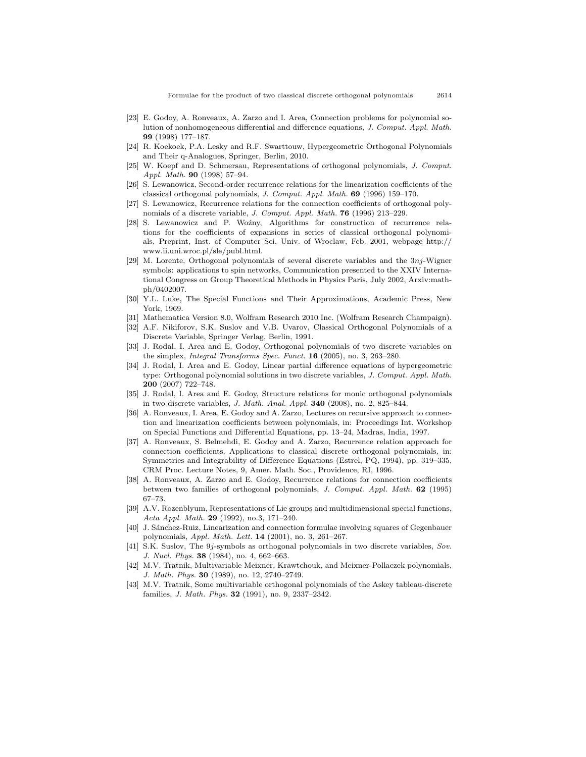- <span id="page-30-9"></span>[23] E. Godoy, A. Ronveaux, A. Zarzo and I. Area, Connection problems for polynomial solution of nonhomogeneous differential and difference equations, *J. Comput. Appl. Math.* **99** (1998) 177–187.
- <span id="page-30-8"></span>[24] R. Koekoek, P.A. Lesky and R.F. Swarttouw, Hypergeometric Orthogonal Polynomials and Their q-Analogues, Springer, Berlin, 2010.
- <span id="page-30-10"></span>[25] W. Koepf and D. Schmersau, Representations of orthogonal polynomials, *J. Comput. Appl. Math.* **90** (1998) 57–94.
- <span id="page-30-11"></span>[26] S. Lewanowicz, Second-order recurrence relations for the linearization coefficients of the classical orthogonal polynomials, *J. Comput. Appl. Math.* **69** (1996) 159–170.
- <span id="page-30-12"></span>[27] S. Lewanowicz, Recurrence relations for the connection coefficients of orthogonal polynomials of a discrete variable, *J. Comput. Appl. Math.* **76** (1996) 213–229.
- <span id="page-30-13"></span>[28] S. Lewanowicz and P. Woźny, Algorithms for construction of recurrence relations for the coefficients of expansions in series of classical orthogonal polynomials, Preprint, Inst. of Computer Sci. Univ. of Wroclaw, Feb. 2001, webpage http:// www.ii.uni.wroc.pl/sle/publ.html.
- <span id="page-30-1"></span>[29] M. Lorente, Orthogonal polynomials of several discrete variables and the 3*nj*-Wigner symbols: applications to spin networks, Communication presented to the XXIV International Congress on Group Theoretical Methods in Physics Paris, July 2002, Arxiv:mathph/0402007.
- <span id="page-30-18"></span>[30] Y.L. Luke, The Special Functions and Their Approximations, Academic Press, New York, 1969.
- [31] Mathematica Version 8.0, Wolfram Research 2010 Inc. (Wolfram Research Champaign).
- <span id="page-30-0"></span>[32] A.F. Nikiforov, S.K. Suslov and V.B. Uvarov, Classical Orthogonal Polynomials of a Discrete Variable, Springer Verlag, Berlin, 1991.
- <span id="page-30-4"></span>[33] J. Rodal, I. Area and E. Godoy, Orthogonal polynomials of two discrete variables on the simplex, *Integral Transforms Spec. Funct.* **16** (2005), no. 3, 263–280.
- <span id="page-30-16"></span>[34] J. Rodal, I. Area and E. Godoy, Linear partial difference equations of hypergeometric type: Orthogonal polynomial solutions in two discrete variables, *J. Comput. Appl. Math.* **200** (2007) 722–748.
- <span id="page-30-5"></span>[35] J. Rodal, I. Area and E. Godoy, Structure relations for monic orthogonal polynomials in two discrete variables, *J. Math. Anal. Appl.* **340** (2008), no. 2, 825–844.
- <span id="page-30-14"></span>[36] A. Ronveaux, I. Area, E. Godoy and A. Zarzo, Lectures on recursive approach to connection and linearization coefficients between polynomials, in: Proceedings Int. Workshop on Special Functions and Differential Equations, pp. 13–24, Madras, India, 1997.
- [37] A. Ronveaux, S. Belmehdi, E. Godoy and A. Zarzo, Recurrence relation approach for connection coefficients. Applications to classical discrete orthogonal polynomials, in: Symmetries and Integrability of Difference Equations (Estrel, PQ, 1994), pp. 319–335, CRM Proc. Lecture Notes, 9, Amer. Math. Soc., Providence, RI, 1996.
- <span id="page-30-15"></span>[38] A. Ronveaux, A. Zarzo and E. Godoy, Recurrence relations for connection coefficients between two families of orthogonal polynomials, *J. Comput. Appl. Math.* **62** (1995) 67–73.
- <span id="page-30-2"></span>[39] A.V. Rozenblyum, Representations of Lie groups and multidimensional special functions, *Acta Appl. Math.* **29** (1992), no.3, 171–240.
- <span id="page-30-17"></span>[40] J. Sánchez-Ruiz, Linearization and connection formulae involving squares of Gegenbauer polynomials, *Appl. Math. Lett.* **14** (2001), no. 3, 261–267.
- <span id="page-30-3"></span>[41] S.K. Suslov, The 9*j*-symbols as orthogonal polynomials in two discrete variables, *Sov. J. Nucl. Phys.* **38** (1984), no. 4, 662–663.
- <span id="page-30-6"></span>[42] M.V. Tratnik, Multivariable Meixner, Krawtchouk, and Meixner-Pollaczek polynomials, *J. Math. Phys.* **30** (1989), no. 12, 2740–2749.
- <span id="page-30-7"></span>[43] M.V. Tratnik, Some multivariable orthogonal polynomials of the Askey tableau-discrete families, *J. Math. Phys.* **32** (1991), no. 9, 2337–2342.